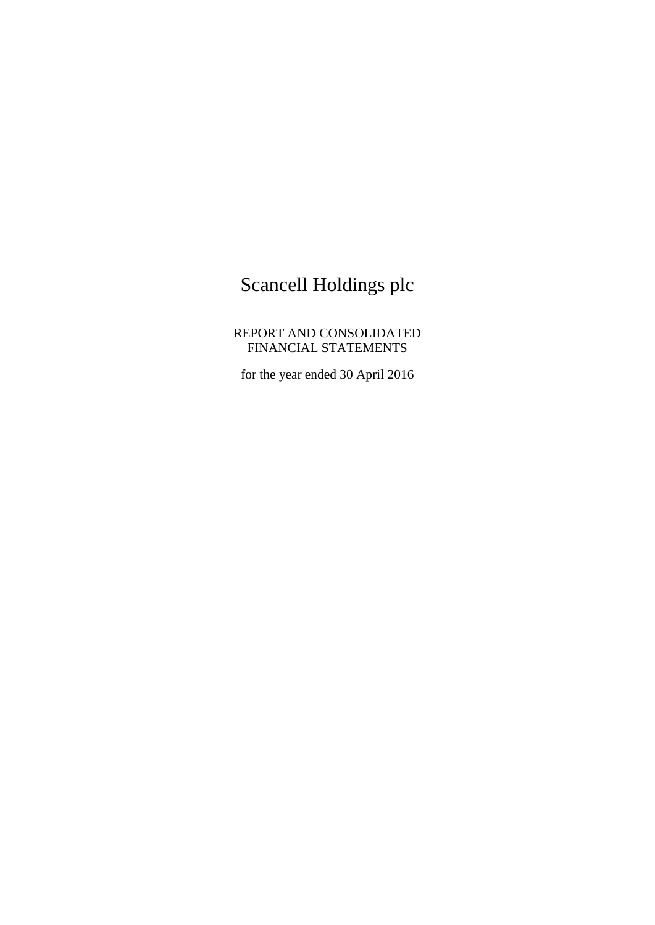# Scancell Holdings plc

REPORT AND CONSOLIDATED FINANCIAL STATEMENTS

for the year ended 30 April 2016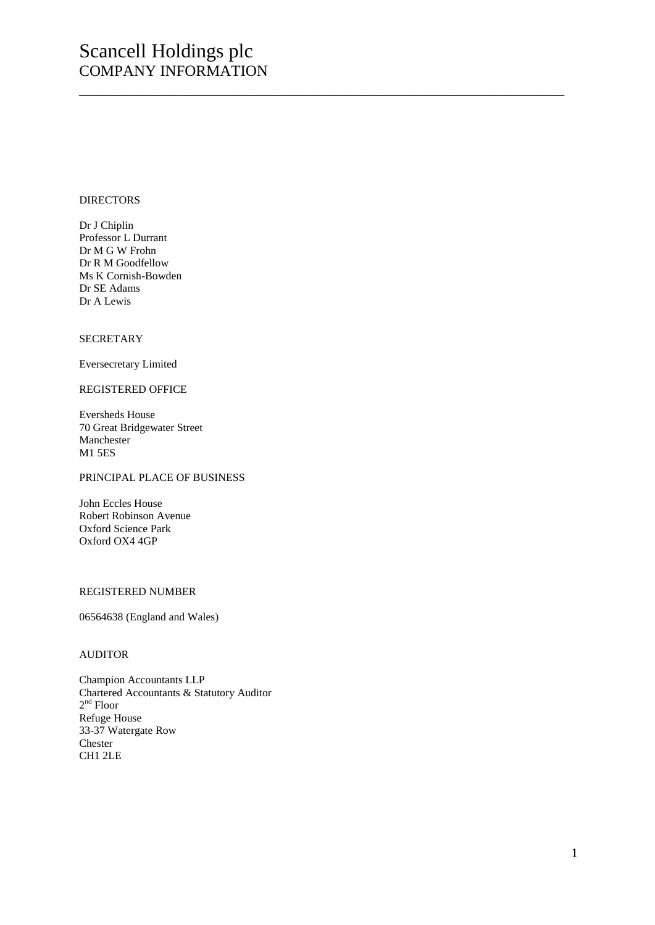## Scancell Holdings plc COMPANY INFORMATION

\_\_\_\_\_\_\_\_\_\_\_\_\_\_\_\_\_\_\_\_\_\_\_\_\_\_\_\_\_\_\_\_\_\_\_\_\_\_\_\_\_\_\_\_\_\_\_\_\_\_\_\_\_\_\_\_\_\_\_\_\_\_\_

### **DIRECTORS**

Dr J Chiplin Professor L Durrant Dr M G W Frohn Dr R M Goodfellow Ms K Cornish-Bowden Dr SE Adams Dr A Lewis

### **SECRETARY**

Eversecretary Limited

### REGISTERED OFFICE

Eversheds House 70 Great Bridgewater Street Manchester M1 5ES

### PRINCIPAL PLACE OF BUSINESS

John Eccles House Robert Robinson Avenue Oxford Science Park Oxford OX4 4GP

### REGISTERED NUMBER

06564638 (England and Wales)

### AUDITOR

Champion Accountants LLP Chartered Accountants & Statutory Auditor 2<sup>nd</sup> Floor Refuge House 33-37 Watergate Row Chester CH1 2LE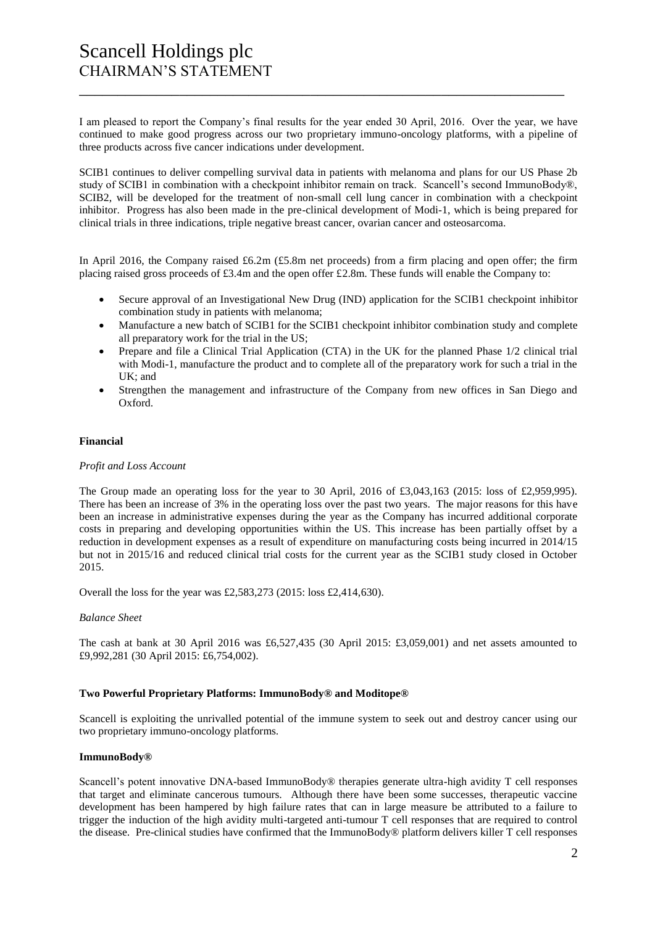I am pleased to report the Company's final results for the year ended 30 April, 2016. Over the year, we have continued to make good progress across our two proprietary immuno-oncology platforms, with a pipeline of three products across five cancer indications under development.

\_\_\_\_\_\_\_\_\_\_\_\_\_\_\_\_\_\_\_\_\_\_\_\_\_\_\_\_\_\_\_\_\_\_\_\_\_\_\_\_\_\_\_\_\_\_\_\_\_\_\_\_\_\_\_\_\_\_\_\_\_\_\_

SCIB1 continues to deliver compelling survival data in patients with melanoma and plans for our US Phase 2b study of SCIB1 in combination with a checkpoint inhibitor remain on track. Scancell's second ImmunoBody®, SCIB2, will be developed for the treatment of non-small cell lung cancer in combination with a checkpoint inhibitor. Progress has also been made in the pre-clinical development of Modi-1, which is being prepared for clinical trials in three indications, triple negative breast cancer, ovarian cancer and osteosarcoma.

In April 2016, the Company raised £6.2m (£5.8m net proceeds) from a firm placing and open offer; the firm placing raised gross proceeds of £3.4m and the open offer £2.8m. These funds will enable the Company to:

- Secure approval of an Investigational New Drug (IND) application for the SCIB1 checkpoint inhibitor combination study in patients with melanoma;
- Manufacture a new batch of SCIB1 for the SCIB1 checkpoint inhibitor combination study and complete all preparatory work for the trial in the US;
- Prepare and file a Clinical Trial Application (CTA) in the UK for the planned Phase 1/2 clinical trial with Modi-1, manufacture the product and to complete all of the preparatory work for such a trial in the UK; and
- Strengthen the management and infrastructure of the Company from new offices in San Diego and Oxford.

### **Financial**

### *Profit and Loss Account*

The Group made an operating loss for the year to 30 April, 2016 of £3,043,163 (2015: loss of £2,959,995). There has been an increase of 3% in the operating loss over the past two years. The major reasons for this have been an increase in administrative expenses during the year as the Company has incurred additional corporate costs in preparing and developing opportunities within the US. This increase has been partially offset by a reduction in development expenses as a result of expenditure on manufacturing costs being incurred in 2014/15 but not in 2015/16 and reduced clinical trial costs for the current year as the SCIB1 study closed in October 2015.

Overall the loss for the year was £2,583,273 (2015: loss £2,414,630).

### *Balance Sheet*

The cash at bank at 30 April 2016 was £6,527,435 (30 April 2015: £3,059,001) and net assets amounted to £9,992,281 (30 April 2015: £6,754,002).

### **Two Powerful Proprietary Platforms: ImmunoBody® and Moditope®**

Scancell is exploiting the unrivalled potential of the immune system to seek out and destroy cancer using our two proprietary immuno-oncology platforms.

### **ImmunoBody®**

Scancell's potent innovative DNA-based ImmunoBody® therapies generate ultra-high avidity T cell responses that target and eliminate cancerous tumours. Although there have been some successes, therapeutic vaccine development has been hampered by high failure rates that can in large measure be attributed to a failure to trigger the induction of the high avidity multi-targeted anti-tumour T cell responses that are required to control the disease. Pre-clinical studies have confirmed that the ImmunoBody® platform delivers killer T cell responses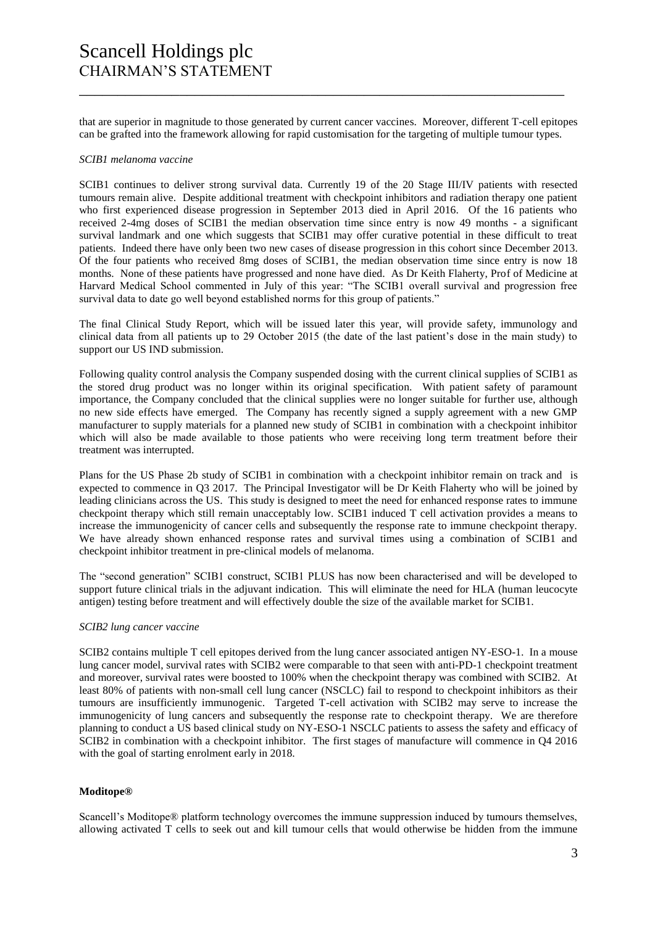## Scancell Holdings plc CHAIRMAN'S STATEMENT

that are superior in magnitude to those generated by current cancer vaccines. Moreover, different T-cell epitopes can be grafted into the framework allowing for rapid customisation for the targeting of multiple tumour types.

\_\_\_\_\_\_\_\_\_\_\_\_\_\_\_\_\_\_\_\_\_\_\_\_\_\_\_\_\_\_\_\_\_\_\_\_\_\_\_\_\_\_\_\_\_\_\_\_\_\_\_\_\_\_\_\_\_\_\_\_\_\_\_

### *SCIB1 melanoma vaccine*

SCIB1 continues to deliver strong survival data. Currently 19 of the 20 Stage III/IV patients with resected tumours remain alive. Despite additional treatment with checkpoint inhibitors and radiation therapy one patient who first experienced disease progression in September 2013 died in April 2016. Of the 16 patients who received 2-4mg doses of SCIB1 the median observation time since entry is now 49 months - a significant survival landmark and one which suggests that SCIB1 may offer curative potential in these difficult to treat patients. Indeed there have only been two new cases of disease progression in this cohort since December 2013. Of the four patients who received 8mg doses of SCIB1, the median observation time since entry is now 18 months. None of these patients have progressed and none have died. As Dr Keith Flaherty, Prof of Medicine at Harvard Medical School commented in July of this year: "The SCIB1 overall survival and progression free survival data to date go well beyond established norms for this group of patients."

The final Clinical Study Report, which will be issued later this year, will provide safety, immunology and clinical data from all patients up to 29 October 2015 (the date of the last patient's dose in the main study) to support our US IND submission.

Following quality control analysis the Company suspended dosing with the current clinical supplies of SCIB1 as the stored drug product was no longer within its original specification. With patient safety of paramount importance, the Company concluded that the clinical supplies were no longer suitable for further use, although no new side effects have emerged. The Company has recently signed a supply agreement with a new GMP manufacturer to supply materials for a planned new study of SCIB1 in combination with a checkpoint inhibitor which will also be made available to those patients who were receiving long term treatment before their treatment was interrupted.

Plans for the US Phase 2b study of SCIB1 in combination with a checkpoint inhibitor remain on track and is expected to commence in Q3 2017. The Principal Investigator will be Dr Keith Flaherty who will be joined by leading clinicians across the US. This study is designed to meet the need for enhanced response rates to immune checkpoint therapy which still remain unacceptably low. SCIB1 induced T cell activation provides a means to increase the immunogenicity of cancer cells and subsequently the response rate to immune checkpoint therapy. We have already shown enhanced response rates and survival times using a combination of SCIB1 and checkpoint inhibitor treatment in pre-clinical models of melanoma.

The "second generation" SCIB1 construct, SCIB1 PLUS has now been characterised and will be developed to support future clinical trials in the adjuvant indication. This will eliminate the need for HLA (human leucocyte antigen) testing before treatment and will effectively double the size of the available market for SCIB1.

### *SCIB2 lung cancer vaccine*

SCIB2 contains multiple T cell epitopes derived from the lung cancer associated antigen NY-ESO-1. In a mouse lung cancer model, survival rates with SCIB2 were comparable to that seen with anti-PD-1 checkpoint treatment and moreover, survival rates were boosted to 100% when the checkpoint therapy was combined with SCIB2. At least 80% of patients with non-small cell lung cancer (NSCLC) fail to respond to checkpoint inhibitors as their tumours are insufficiently immunogenic. Targeted T-cell activation with SCIB2 may serve to increase the immunogenicity of lung cancers and subsequently the response rate to checkpoint therapy. We are therefore planning to conduct a US based clinical study on NY-ESO-1 NSCLC patients to assess the safety and efficacy of SCIB2 in combination with a checkpoint inhibitor. The first stages of manufacture will commence in Q4 2016 with the goal of starting enrolment early in 2018.

### **Moditope®**

Scancell's Moditope® platform technology overcomes the immune suppression induced by tumours themselves, allowing activated T cells to seek out and kill tumour cells that would otherwise be hidden from the immune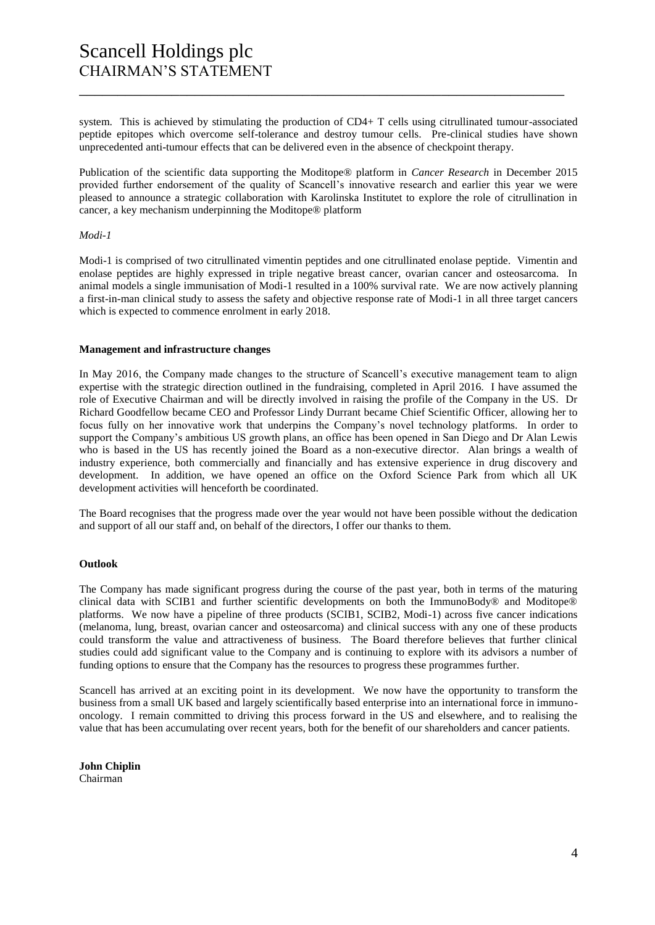system. This is achieved by stimulating the production of CD4+ T cells using citrullinated tumour-associated peptide epitopes which overcome self-tolerance and destroy tumour cells. Pre-clinical studies have shown unprecedented anti-tumour effects that can be delivered even in the absence of checkpoint therapy.

\_\_\_\_\_\_\_\_\_\_\_\_\_\_\_\_\_\_\_\_\_\_\_\_\_\_\_\_\_\_\_\_\_\_\_\_\_\_\_\_\_\_\_\_\_\_\_\_\_\_\_\_\_\_\_\_\_\_\_\_\_\_\_

Publication of the scientific data supporting the Moditope® platform in *Cancer Research* in December 2015 provided further endorsement of the quality of Scancell's innovative research and earlier this year we were pleased to announce a strategic collaboration with Karolinska Institutet to explore the role of citrullination in cancer, a key mechanism underpinning the Moditope® platform

### *Modi-1*

Modi-1 is comprised of two citrullinated vimentin peptides and one citrullinated enolase peptide. Vimentin and enolase peptides are highly expressed in triple negative breast cancer, ovarian cancer and osteosarcoma. In animal models a single immunisation of Modi-1 resulted in a 100% survival rate. We are now actively planning a first-in-man clinical study to assess the safety and objective response rate of Modi-1 in all three target cancers which is expected to commence enrolment in early 2018.

### **Management and infrastructure changes**

In May 2016, the Company made changes to the structure of Scancell's executive management team to align expertise with the strategic direction outlined in the fundraising, completed in April 2016. I have assumed the role of Executive Chairman and will be directly involved in raising the profile of the Company in the US. Dr Richard Goodfellow became CEO and Professor Lindy Durrant became Chief Scientific Officer, allowing her to focus fully on her innovative work that underpins the Company's novel technology platforms. In order to support the Company's ambitious US growth plans, an office has been opened in San Diego and Dr Alan Lewis who is based in the US has recently joined the Board as a non-executive director. Alan brings a wealth of industry experience, both commercially and financially and has extensive experience in drug discovery and development. In addition, we have opened an office on the Oxford Science Park from which all UK development activities will henceforth be coordinated.

The Board recognises that the progress made over the year would not have been possible without the dedication and support of all our staff and, on behalf of the directors, I offer our thanks to them.

### **Outlook**

The Company has made significant progress during the course of the past year, both in terms of the maturing clinical data with SCIB1 and further scientific developments on both the ImmunoBody® and Moditope® platforms. We now have a pipeline of three products (SCIB1, SCIB2, Modi-1) across five cancer indications (melanoma, lung, breast, ovarian cancer and osteosarcoma) and clinical success with any one of these products could transform the value and attractiveness of business. The Board therefore believes that further clinical studies could add significant value to the Company and is continuing to explore with its advisors a number of funding options to ensure that the Company has the resources to progress these programmes further.

Scancell has arrived at an exciting point in its development. We now have the opportunity to transform the business from a small UK based and largely scientifically based enterprise into an international force in immunooncology. I remain committed to driving this process forward in the US and elsewhere, and to realising the value that has been accumulating over recent years, both for the benefit of our shareholders and cancer patients.

**John Chiplin** Chairman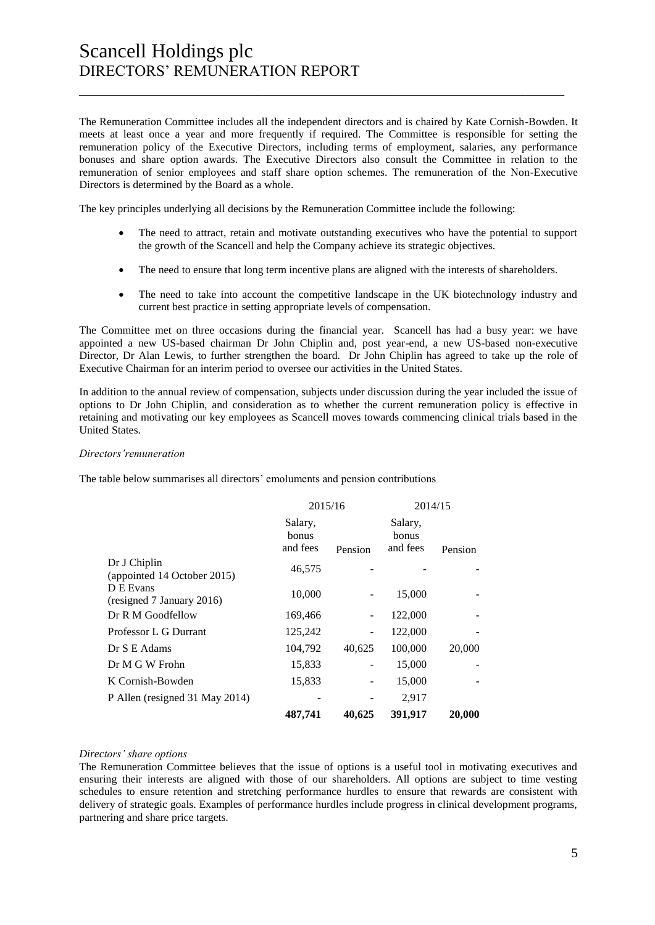## Scancell Holdings plc DIRECTORS' REMUNERATION REPORT

The Remuneration Committee includes all the independent directors and is chaired by Kate Cornish-Bowden. It meets at least once a year and more frequently if required. The Committee is responsible for setting the remuneration policy of the Executive Directors, including terms of employment, salaries, any performance bonuses and share option awards. The Executive Directors also consult the Committee in relation to the remuneration of senior employees and staff share option schemes. The remuneration of the Non-Executive Directors is determined by the Board as a whole.

\_\_\_\_\_\_\_\_\_\_\_\_\_\_\_\_\_\_\_\_\_\_\_\_\_\_\_\_\_\_\_\_\_\_\_\_\_\_\_\_\_\_\_\_\_\_\_\_\_\_\_\_\_\_\_\_\_\_\_\_\_\_\_

The key principles underlying all decisions by the Remuneration Committee include the following:

- The need to attract, retain and motivate outstanding executives who have the potential to support the growth of the Scancell and help the Company achieve its strategic objectives.
- The need to ensure that long term incentive plans are aligned with the interests of shareholders.
- The need to take into account the competitive landscape in the UK biotechnology industry and current best practice in setting appropriate levels of compensation.

The Committee met on three occasions during the financial year. Scancell has had a busy year: we have appointed a new US-based chairman Dr John Chiplin and, post year-end, a new US-based non-executive Director, Dr Alan Lewis, to further strengthen the board. Dr John Chiplin has agreed to take up the role of Executive Chairman for an interim period to oversee our activities in the United States.

In addition to the annual review of compensation, subjects under discussion during the year included the issue of options to Dr John Chiplin, and consideration as to whether the current remuneration policy is effective in retaining and motivating our key employees as Scancell moves towards commencing clinical trials based in the United States.

### *Directors'remuneration*

The table below summarises all directors' emoluments and pension contributions

|                                             | 2015/16                      |         | 2014/15                      |         |
|---------------------------------------------|------------------------------|---------|------------------------------|---------|
|                                             | Salary,<br>bonus<br>and fees | Pension | Salary,<br>bonus<br>and fees | Pension |
| Dr J Chiplin<br>(appointed 14 October 2015) | 46,575                       |         |                              |         |
| D E Evans<br>(resigned 7 January 2016)      | 10,000                       |         | 15,000                       |         |
| Dr R M Goodfellow                           | 169,466                      |         | 122,000                      |         |
| Professor L G Durrant                       | 125,242                      |         | 122,000                      |         |
| Dr S E Adams                                | 104,792                      | 40,625  | 100,000                      | 20,000  |
| Dr M G W Frohn                              | 15,833                       |         | 15,000                       |         |
| K Cornish-Bowden                            | 15,833                       |         | 15,000                       |         |
| P Allen (resigned 31 May 2014)              |                              |         | 2,917                        |         |
|                                             | 487,741                      | 40,625  | 391,917                      | 20,000  |

### *Directors' share options*

The Remuneration Committee believes that the issue of options is a useful tool in motivating executives and ensuring their interests are aligned with those of our shareholders. All options are subject to time vesting schedules to ensure retention and stretching performance hurdles to ensure that rewards are consistent with delivery of strategic goals. Examples of performance hurdles include progress in clinical development programs, partnering and share price targets.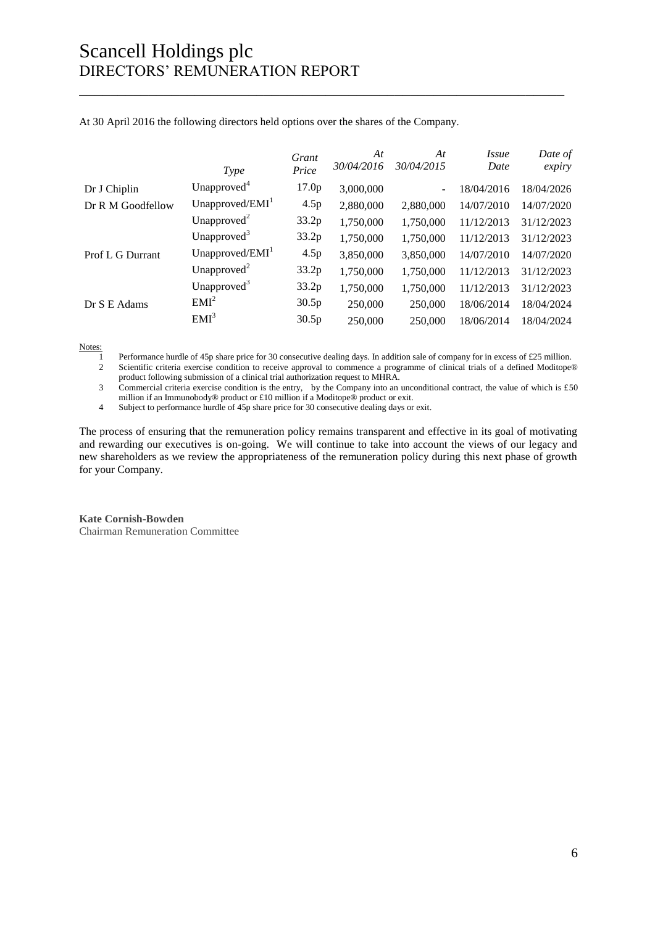|                   | <b>Type</b>                 | Grant<br>Price    | At<br>30/04/2016 | At<br>30/04/2015 | <i>Issue</i><br>Date | Date of<br>expiry |
|-------------------|-----------------------------|-------------------|------------------|------------------|----------------------|-------------------|
| Dr J Chiplin      | Unapproved $4$              | 17.0 <sub>p</sub> | 3,000,000        |                  | 18/04/2016           | 18/04/2026        |
| Dr R M Goodfellow | Unapproved/EMI <sup>1</sup> | 4.5p              | 2,880,000        | 2,880,000        | 14/07/2010           | 14/07/2020        |
|                   | Unapproved <sup>2</sup>     | 33.2p             | 1,750,000        | 1,750,000        | 11/12/2013           | 31/12/2023        |
|                   | Unapproved $3$              | 33.2p             | 1,750,000        | 1,750,000        | 11/12/2013           | 31/12/2023        |
| Prof L G Durrant  | Unapproved/EMI <sup>1</sup> | 4.5p              | 3,850,000        | 3,850,000        | 14/07/2010           | 14/07/2020        |
|                   | Unapproved <sup>2</sup>     | 33.2p             | 1,750,000        | 1,750,000        | 11/12/2013           | 31/12/2023        |
|                   | Unapproved <sup>3</sup>     | 33.2p             | 1,750,000        | 1,750,000        | 11/12/2013           | 31/12/2023        |
| Dr S E Adams      | EMI <sup>2</sup>            | 30.5p             | 250,000          | 250,000          | 18/06/2014           | 18/04/2024        |
|                   | EMI <sup>3</sup>            | 30.5p             | 250,000          | 250,000          | 18/06/2014           | 18/04/2024        |

\_\_\_\_\_\_\_\_\_\_\_\_\_\_\_\_\_\_\_\_\_\_\_\_\_\_\_\_\_\_\_\_\_\_\_\_\_\_\_\_\_\_\_\_\_\_\_\_\_\_\_\_\_\_\_\_\_\_\_\_\_\_\_

At 30 April 2016 the following directors held options over the shares of the Company.

 $\frac{\text{Notes:}}{\text{1}}$ 

- 1 Performance hurdle of 45p share price for 30 consecutive dealing days. In addition sale of company for in excess of £25 million.<br>2 Scientific criteria exercise condition to receive approval to commence a programme of cli Scientific criteria exercise condition to receive approval to commence a programme of clinical trials of a defined Moditope®
- product following submission of a clinical trial authorization request to MHRA.

3 Commercial criteria exercise condition is the entry, by the Company into an unconditional contract, the value of which is £50 million if an Immunobody® product or £10 million if a Moditope® product or exit.

4 Subject to performance hurdle of 45p share price for 30 consecutive dealing days or exit.

The process of ensuring that the remuneration policy remains transparent and effective in its goal of motivating and rewarding our executives is on-going. We will continue to take into account the views of our legacy and new shareholders as we review the appropriateness of the remuneration policy during this next phase of growth for your Company.

**Kate Cornish-Bowden** Chairman Remuneration Committee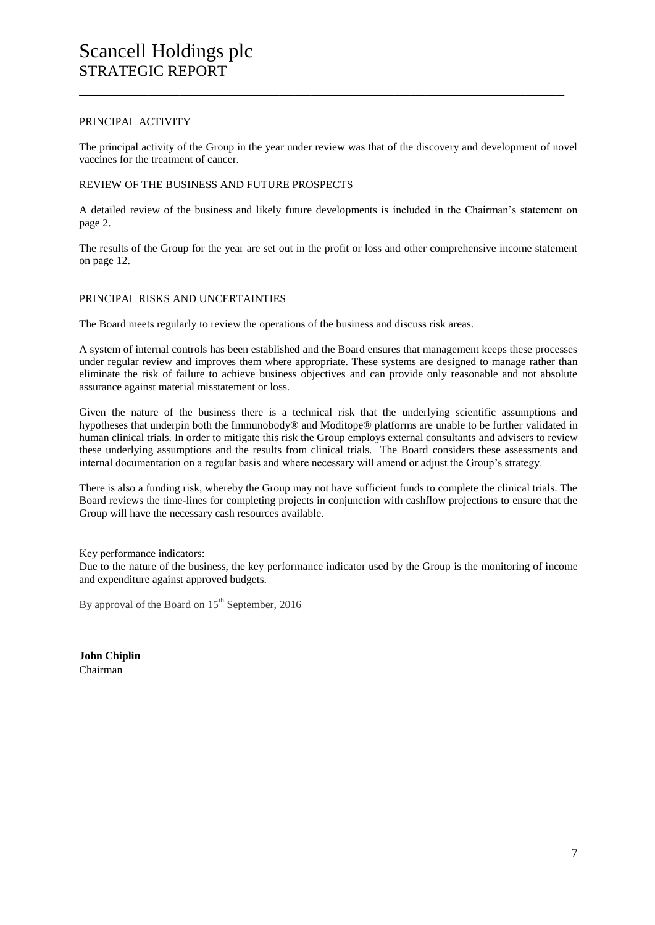### PRINCIPAL ACTIVITY

The principal activity of the Group in the year under review was that of the discovery and development of novel vaccines for the treatment of cancer.

\_\_\_\_\_\_\_\_\_\_\_\_\_\_\_\_\_\_\_\_\_\_\_\_\_\_\_\_\_\_\_\_\_\_\_\_\_\_\_\_\_\_\_\_\_\_\_\_\_\_\_\_\_\_\_\_\_\_\_\_\_\_\_

### REVIEW OF THE BUSINESS AND FUTURE PROSPECTS

A detailed review of the business and likely future developments is included in the Chairman's statement on page 2.

The results of the Group for the year are set out in the profit or loss and other comprehensive income statement on page 12.

### PRINCIPAL RISKS AND UNCERTAINTIES

The Board meets regularly to review the operations of the business and discuss risk areas.

A system of internal controls has been established and the Board ensures that management keeps these processes under regular review and improves them where appropriate. These systems are designed to manage rather than eliminate the risk of failure to achieve business objectives and can provide only reasonable and not absolute assurance against material misstatement or loss.

Given the nature of the business there is a technical risk that the underlying scientific assumptions and hypotheses that underpin both the Immunobody® and Moditope® platforms are unable to be further validated in human clinical trials. In order to mitigate this risk the Group employs external consultants and advisers to review these underlying assumptions and the results from clinical trials. The Board considers these assessments and internal documentation on a regular basis and where necessary will amend or adjust the Group's strategy.

There is also a funding risk, whereby the Group may not have sufficient funds to complete the clinical trials. The Board reviews the time-lines for completing projects in conjunction with cashflow projections to ensure that the Group will have the necessary cash resources available.

Key performance indicators:

Due to the nature of the business, the key performance indicator used by the Group is the monitoring of income and expenditure against approved budgets.

By approval of the Board on  $15<sup>th</sup>$  September, 2016

**John Chiplin** Chairman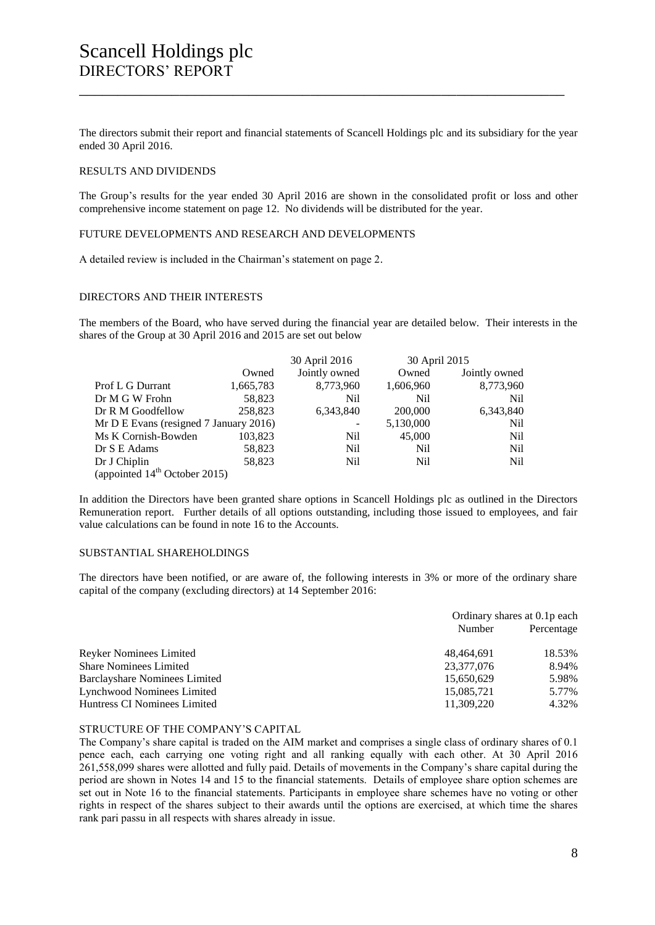The directors submit their report and financial statements of Scancell Holdings plc and its subsidiary for the year ended 30 April 2016.

\_\_\_\_\_\_\_\_\_\_\_\_\_\_\_\_\_\_\_\_\_\_\_\_\_\_\_\_\_\_\_\_\_\_\_\_\_\_\_\_\_\_\_\_\_\_\_\_\_\_\_\_\_\_\_\_\_\_\_\_\_\_\_

### RESULTS AND DIVIDENDS

The Group's results for the year ended 30 April 2016 are shown in the consolidated profit or loss and other comprehensive income statement on page 12. No dividends will be distributed for the year.

### FUTURE DEVELOPMENTS AND RESEARCH AND DEVELOPMENTS

A detailed review is included in the Chairman's statement on page 2.

### DIRECTORS AND THEIR INTERESTS

The members of the Board, who have served during the financial year are detailed below. Their interests in the shares of the Group at 30 April 2016 and 2015 are set out below

|                                           |           | 30 April 2016 | 30 April 2015   |               |
|-------------------------------------------|-----------|---------------|-----------------|---------------|
|                                           | Owned     | Jointly owned | Owned           | Jointly owned |
| Prof L G Durrant                          | 1,665,783 | 8,773,960     | 1,606,960       | 8,773,960     |
| Dr M G W Frohn                            | 58,823    | Nil           | N <sub>il</sub> | Nil.          |
| Dr R M Goodfellow                         | 258,823   | 6,343,840     | 200,000         | 6,343,840     |
| Mr D E Evans (resigned 7 January 2016)    |           |               | 5,130,000       | Nil           |
| Ms K Cornish-Bowden                       | 103,823   | Nil           | 45,000          | Nil           |
| Dr S E Adams                              | 58,823    | Nil           | Nil             | Nil           |
| Dr J Chiplin                              | 58.823    | Nil           | N <sub>il</sub> | Nil           |
| (appointed $14^{\text{th}}$ October 2015) |           |               |                 |               |

In addition the Directors have been granted share options in Scancell Holdings plc as outlined in the Directors Remuneration report. Further details of all options outstanding, including those issued to employees, and fair value calculations can be found in note 16 to the Accounts.

### SUBSTANTIAL SHAREHOLDINGS

The directors have been notified, or are aware of, the following interests in 3% or more of the ordinary share capital of the company (excluding directors) at 14 September 2016:

|                               | Ordinary shares at 0.1p each |            |  |
|-------------------------------|------------------------------|------------|--|
|                               | Number                       | Percentage |  |
| Reyker Nominees Limited       | 48.464.691                   | 18.53%     |  |
| <b>Share Nominees Limited</b> | 23,377,076                   | 8.94%      |  |
| Barclayshare Nominees Limited | 15,650,629                   | 5.98%      |  |
| Lynchwood Nominees Limited    | 15,085,721                   | 5.77%      |  |
| Huntress CI Nominees Limited  | 11,309,220                   | 4.32%      |  |

### STRUCTURE OF THE COMPANY'S CAPITAL

The Company's share capital is traded on the AIM market and comprises a single class of ordinary shares of 0.1 pence each, each carrying one voting right and all ranking equally with each other. At 30 April 2016 261,558,099 shares were allotted and fully paid. Details of movements in the Company's share capital during the period are shown in Notes 14 and 15 to the financial statements. Details of employee share option schemes are set out in Note 16 to the financial statements. Participants in employee share schemes have no voting or other rights in respect of the shares subject to their awards until the options are exercised, at which time the shares rank pari passu in all respects with shares already in issue.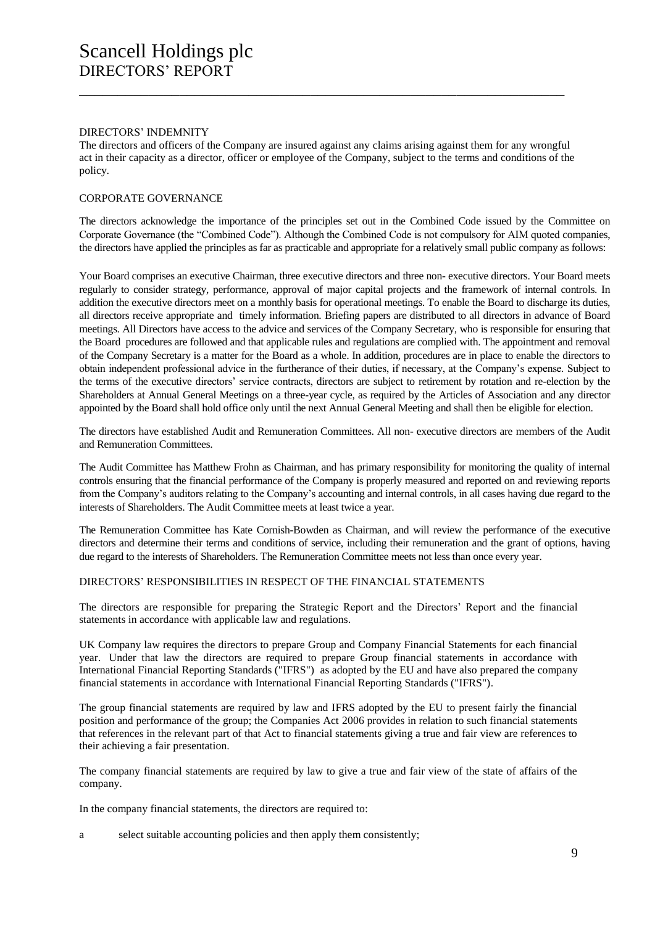### DIRECTORS' INDEMNITY

The directors and officers of the Company are insured against any claims arising against them for any wrongful act in their capacity as a director, officer or employee of the Company, subject to the terms and conditions of the policy.

\_\_\_\_\_\_\_\_\_\_\_\_\_\_\_\_\_\_\_\_\_\_\_\_\_\_\_\_\_\_\_\_\_\_\_\_\_\_\_\_\_\_\_\_\_\_\_\_\_\_\_\_\_\_\_\_\_\_\_\_\_\_\_

### CORPORATE GOVERNANCE

The directors acknowledge the importance of the principles set out in the Combined Code issued by the Committee on Corporate Governance (the "Combined Code"). Although the Combined Code is not compulsory for AIM quoted companies, the directors have applied the principles as far as practicable and appropriate for a relatively small public company as follows:

Your Board comprises an executive Chairman, three executive directors and three non- executive directors. Your Board meets regularly to consider strategy, performance, approval of major capital projects and the framework of internal controls. In addition the executive directors meet on a monthly basis for operational meetings. To enable the Board to discharge its duties, all directors receive appropriate and timely information. Briefing papers are distributed to all directors in advance of Board meetings. All Directors have access to the advice and services of the Company Secretary, who is responsible for ensuring that the Board procedures are followed and that applicable rules and regulations are complied with. The appointment and removal of the Company Secretary is a matter for the Board as a whole. In addition, procedures are in place to enable the directors to obtain independent professional advice in the furtherance of their duties, if necessary, at the Company's expense. Subject to the terms of the executive directors' service contracts, directors are subject to retirement by rotation and re-election by the Shareholders at Annual General Meetings on a three-year cycle, as required by the Articles of Association and any director appointed by the Board shall hold office only until the next Annual General Meeting and shall then be eligible for election.

The directors have established Audit and Remuneration Committees. All non- executive directors are members of the Audit and Remuneration Committees.

The Audit Committee has Matthew Frohn as Chairman, and has primary responsibility for monitoring the quality of internal controls ensuring that the financial performance of the Company is properly measured and reported on and reviewing reports from the Company's auditors relating to the Company's accounting and internal controls, in all cases having due regard to the interests of Shareholders. The Audit Committee meets at least twice a year.

The Remuneration Committee has Kate Cornish-Bowden as Chairman, and will review the performance of the executive directors and determine their terms and conditions of service, including their remuneration and the grant of options, having due regard to the interests of Shareholders. The Remuneration Committee meets not less than once every year.

### DIRECTORS' RESPONSIBILITIES IN RESPECT OF THE FINANCIAL STATEMENTS

The directors are responsible for preparing the Strategic Report and the Directors' Report and the financial statements in accordance with applicable law and regulations.

UK Company law requires the directors to prepare Group and Company Financial Statements for each financial year. Under that law the directors are required to prepare Group financial statements in accordance with International Financial Reporting Standards ("IFRS") as adopted by the EU and have also prepared the company financial statements in accordance with International Financial Reporting Standards ("IFRS").

The group financial statements are required by law and IFRS adopted by the EU to present fairly the financial position and performance of the group; the Companies Act 2006 provides in relation to such financial statements that references in the relevant part of that Act to financial statements giving a true and fair view are references to their achieving a fair presentation.

The company financial statements are required by law to give a true and fair view of the state of affairs of the company.

In the company financial statements, the directors are required to:

a select suitable accounting policies and then apply them consistently;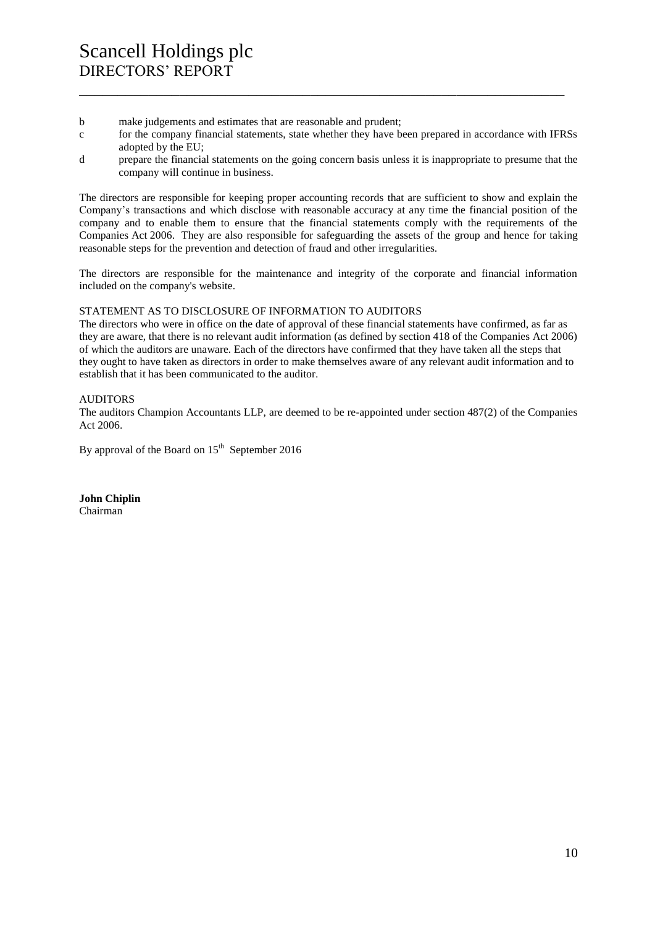- b make judgements and estimates that are reasonable and prudent;
- c for the company financial statements, state whether they have been prepared in accordance with IFRSs adopted by the EU;

\_\_\_\_\_\_\_\_\_\_\_\_\_\_\_\_\_\_\_\_\_\_\_\_\_\_\_\_\_\_\_\_\_\_\_\_\_\_\_\_\_\_\_\_\_\_\_\_\_\_\_\_\_\_\_\_\_\_\_\_\_\_\_

d prepare the financial statements on the going concern basis unless it is inappropriate to presume that the company will continue in business.

The directors are responsible for keeping proper accounting records that are sufficient to show and explain the Company's transactions and which disclose with reasonable accuracy at any time the financial position of the company and to enable them to ensure that the financial statements comply with the requirements of the Companies Act 2006. They are also responsible for safeguarding the assets of the group and hence for taking reasonable steps for the prevention and detection of fraud and other irregularities.

The directors are responsible for the maintenance and integrity of the corporate and financial information included on the company's website.

### STATEMENT AS TO DISCLOSURE OF INFORMATION TO AUDITORS

The directors who were in office on the date of approval of these financial statements have confirmed, as far as they are aware, that there is no relevant audit information (as defined by section 418 of the Companies Act 2006) of which the auditors are unaware. Each of the directors have confirmed that they have taken all the steps that they ought to have taken as directors in order to make themselves aware of any relevant audit information and to establish that it has been communicated to the auditor.

### AUDITORS

The auditors Champion Accountants LLP, are deemed to be re-appointed under section 487(2) of the Companies Act 2006.

By approval of the Board on  $15<sup>th</sup>$  September 2016

**John Chiplin** Chairman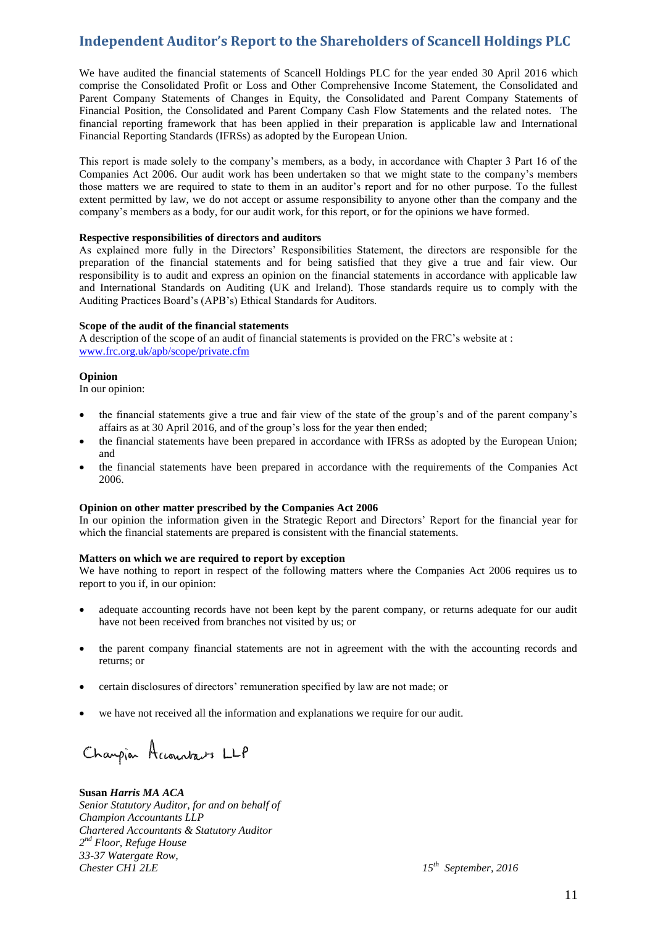### **Independent Auditor's Report to the Shareholders of Scancell Holdings PLC**

We have audited the financial statements of Scancell Holdings PLC for the year ended 30 April 2016 which comprise the Consolidated Profit or Loss and Other Comprehensive Income Statement, the Consolidated and Parent Company Statements of Changes in Equity, the Consolidated and Parent Company Statements of Financial Position, the Consolidated and Parent Company Cash Flow Statements and the related notes. The financial reporting framework that has been applied in their preparation is applicable law and International Financial Reporting Standards (IFRSs) as adopted by the European Union.

This report is made solely to the company's members, as a body, in accordance with Chapter 3 Part 16 of the Companies Act 2006. Our audit work has been undertaken so that we might state to the company's members those matters we are required to state to them in an auditor's report and for no other purpose. To the fullest extent permitted by law, we do not accept or assume responsibility to anyone other than the company and the company's members as a body, for our audit work, for this report, or for the opinions we have formed.

### **Respective responsibilities of directors and auditors**

As explained more fully in the Directors' Responsibilities Statement, the directors are responsible for the preparation of the financial statements and for being satisfied that they give a true and fair view. Our responsibility is to audit and express an opinion on the financial statements in accordance with applicable law and International Standards on Auditing (UK and Ireland). Those standards require us to comply with the Auditing Practices Board's (APB's) Ethical Standards for Auditors.

### **Scope of the audit of the financial statements**

A description of the scope of an audit of financial statements is provided on the FRC's website at : [www.frc.org.uk/apb/scope/private.cfm](http://www.frc.org.uk/apb/scope/private.cfm)

### **Opinion**

In our opinion:

- the financial statements give a true and fair view of the state of the group's and of the parent company's affairs as at 30 April 2016, and of the group's loss for the year then ended;
- the financial statements have been prepared in accordance with IFRSs as adopted by the European Union; and
- the financial statements have been prepared in accordance with the requirements of the Companies Act 2006.

### **Opinion on other matter prescribed by the Companies Act 2006**

In our opinion the information given in the Strategic Report and Directors' Report for the financial year for which the financial statements are prepared is consistent with the financial statements.

### **Matters on which we are required to report by exception**

We have nothing to report in respect of the following matters where the Companies Act 2006 requires us to report to you if, in our opinion:

- adequate accounting records have not been kept by the parent company, or returns adequate for our audit have not been received from branches not visited by us; or
- the parent company financial statements are not in agreement with the with the accounting records and returns; or
- certain disclosures of directors' remuneration specified by law are not made; or
- we have not received all the information and explanations we require for our audit.

Changian Accountants LLP

### **Susan** *Harris MA ACA*

*Senior Statutory Auditor, for and on behalf of Champion Accountants LLP Chartered Accountants & Statutory Auditor 2 nd Floor, Refuge House 33-37 Watergate Row, Chester CH1 2LE 15th September, 2016*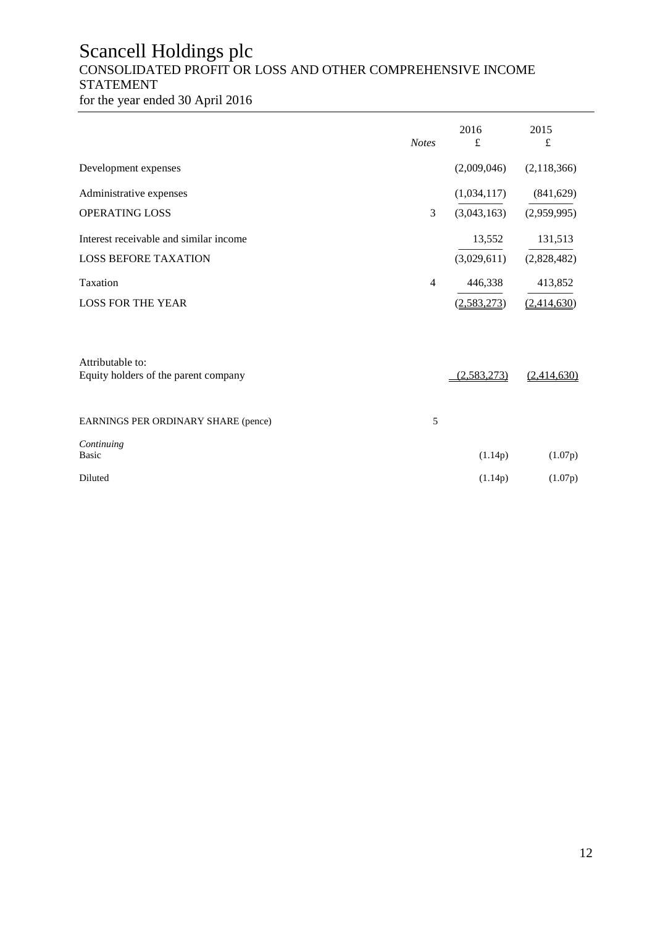### Scancell Holdings plc CONSOLIDATED PROFIT OR LOSS AND OTHER COMPREHENSIVE INCOME STATEMENT

for the year ended 30 April 2016

|                                                          | <b>Notes</b>   | 2016<br>$\pounds$ | 2015<br>£   |
|----------------------------------------------------------|----------------|-------------------|-------------|
| Development expenses                                     |                | (2,009,046)       | (2,118,366) |
| Administrative expenses                                  |                | (1,034,117)       | (841, 629)  |
| OPERATING LOSS                                           | 3              | (3,043,163)       | (2,959,995) |
| Interest receivable and similar income                   |                | 13,552            | 131,513     |
| <b>LOSS BEFORE TAXATION</b>                              |                | (3,029,611)       | (2,828,482) |
| Taxation                                                 | $\overline{4}$ | 446,338           | 413,852     |
| <b>LOSS FOR THE YEAR</b>                                 |                | (2,583,273)       | (2,414,630) |
| Attributable to:<br>Equity holders of the parent company |                | (2,583,273)       | (2,414,630) |
| EARNINGS PER ORDINARY SHARE (pence)                      | 5              |                   |             |
| Continuing<br>Basic                                      |                | (1.14p)           | (1.07p)     |
| Diluted                                                  |                | (1.14p)           | (1.07p)     |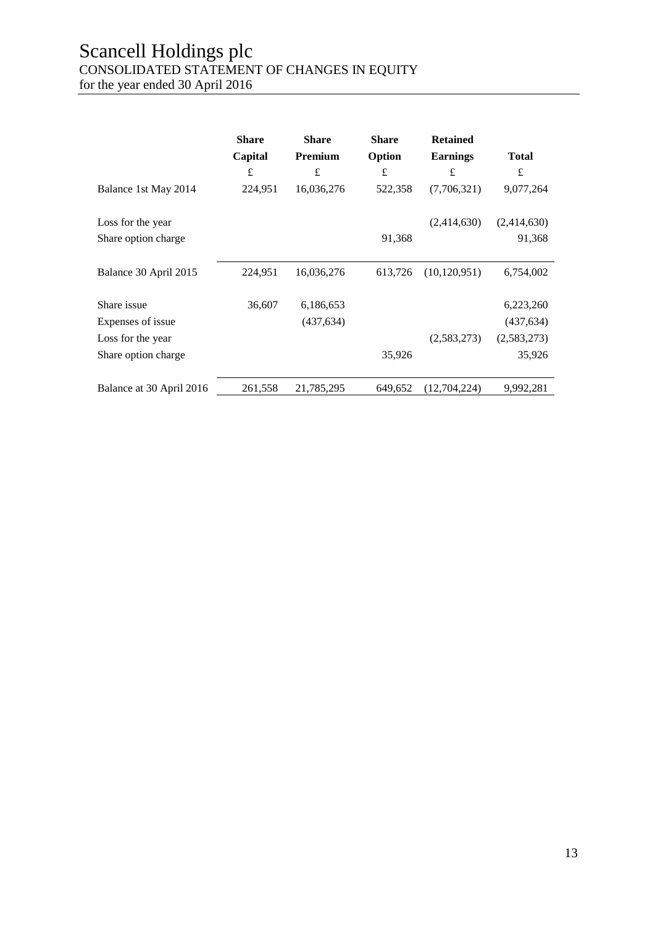# Scancell Holdings plc CONSOLIDATED STATEMENT OF CHANGES IN EQUITY

for the year ended 30 April 2016

|                          | <b>Share</b><br>Capital | Share<br><b>Premium</b> | <b>Share</b><br>Option | <b>Retained</b><br><b>Earnings</b> | <b>Total</b> |
|--------------------------|-------------------------|-------------------------|------------------------|------------------------------------|--------------|
|                          | £                       | £                       | £                      | £                                  | £            |
| Balance 1st May 2014     | 224,951                 | 16,036,276              | 522,358                | (7,706,321)                        | 9,077,264    |
| Loss for the year        |                         |                         |                        | (2,414,630)                        | (2,414,630)  |
| Share option charge      |                         |                         | 91,368                 |                                    | 91,368       |
| Balance 30 April 2015    | 224,951                 | 16,036,276              | 613,726                | (10, 120, 951)                     | 6,754,002    |
| Share issue              | 36,607                  | 6,186,653               |                        |                                    | 6,223,260    |
| Expenses of issue        |                         | (437, 634)              |                        |                                    | (437, 634)   |
| Loss for the year        |                         |                         |                        | (2,583,273)                        | (2,583,273)  |
| Share option charge.     |                         |                         | 35,926                 |                                    | 35,926       |
| Balance at 30 April 2016 | 261,558                 | 21,785,295              | 649,652                | (12,704,224)                       | 9,992,281    |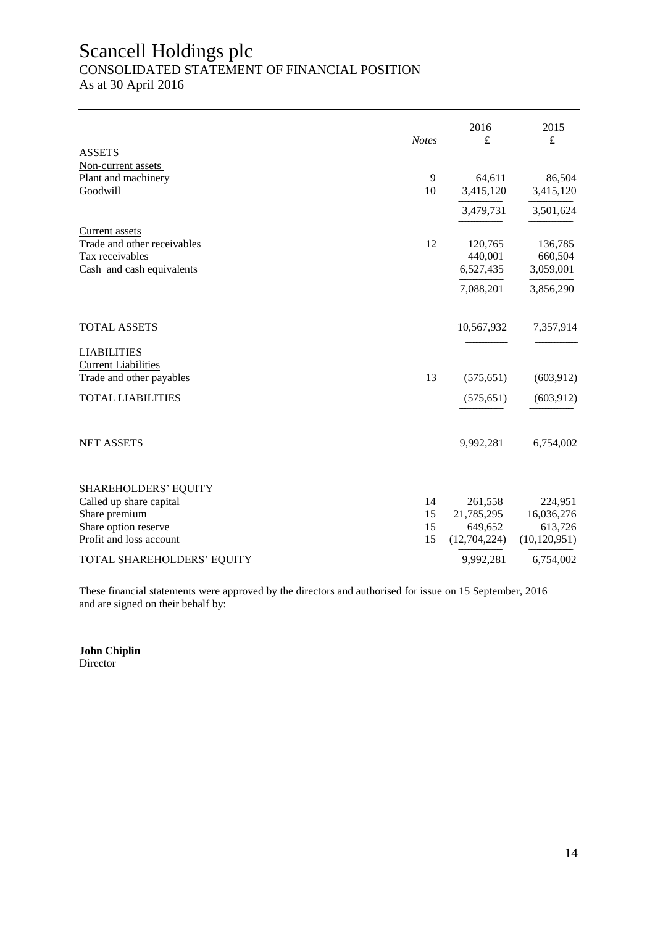# Scancell Holdings plc

### CONSOLIDATED STATEMENT OF FINANCIAL POSITION

As at 30 April 2016

|                                           | <b>Notes</b> | 2016<br>£    | 2015<br>£      |
|-------------------------------------------|--------------|--------------|----------------|
| <b>ASSETS</b>                             |              |              |                |
| Non-current assets<br>Plant and machinery | 9            | 64,611       | 86,504         |
| Goodwill                                  | 10           | 3,415,120    | 3,415,120      |
|                                           |              | 3,479,731    | 3,501,624      |
| <b>Current</b> assets                     |              |              |                |
| Trade and other receivables               | 12           | 120,765      | 136,785        |
| Tax receivables                           |              | 440,001      | 660,504        |
| Cash and cash equivalents                 |              | 6,527,435    | 3,059,001      |
|                                           |              | 7,088,201    | 3,856,290      |
| <b>TOTAL ASSETS</b>                       |              | 10,567,932   | 7,357,914      |
|                                           |              |              |                |
| <b>LIABILITIES</b>                        |              |              |                |
| <b>Current Liabilities</b>                |              |              |                |
| Trade and other payables                  | 13           | (575, 651)   | (603, 912)     |
| <b>TOTAL LIABILITIES</b>                  |              | (575, 651)   | (603, 912)     |
|                                           |              |              |                |
| <b>NET ASSETS</b>                         |              | 9,992,281    | 6,754,002      |
|                                           |              |              |                |
| <b>SHAREHOLDERS' EQUITY</b>               |              |              |                |
| Called up share capital                   | 14           | 261,558      | 224,951        |
| Share premium                             | 15           | 21,785,295   | 16,036,276     |
| Share option reserve                      | 15           | 649,652      | 613,726        |
| Profit and loss account                   | 15           | (12,704,224) | (10, 120, 951) |
| TOTAL SHAREHOLDERS' EQUITY                |              | 9,992,281    | 6,754,002      |
|                                           |              |              |                |

These financial statements were approved by the directors and authorised for issue on 15 September, 2016 and are signed on their behalf by:

**John Chiplin** Director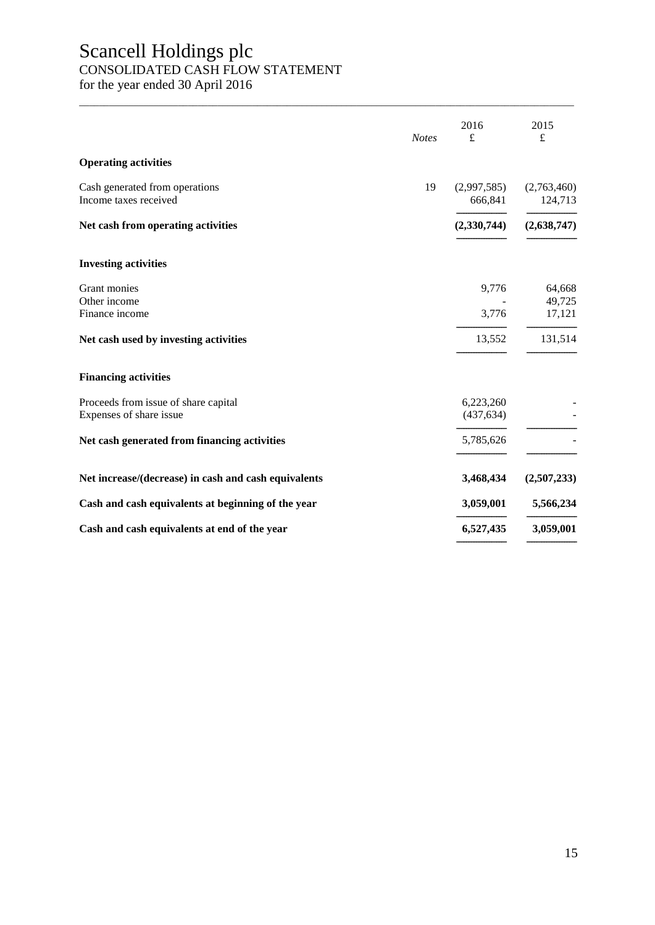# Scancell Holdings plc

### CONSOLIDATED CASH FLOW STATEMENT

for the year ended 30 April 2016

| <b>Notes</b>                                                    | 2016<br>£               | 2015<br>£              |
|-----------------------------------------------------------------|-------------------------|------------------------|
| <b>Operating activities</b>                                     |                         |                        |
| 19<br>Cash generated from operations<br>Income taxes received   | (2,997,585)<br>666,841  | (2,763,460)<br>124,713 |
| Net cash from operating activities                              | (2,330,744)             | (2,638,747)            |
| <b>Investing activities</b>                                     |                         |                        |
| Grant monies                                                    | 9,776                   | 64,668                 |
| Other income<br>Finance income                                  | 3,776                   | 49,725<br>17,121       |
| Net cash used by investing activities                           | 13,552                  | 131,514                |
| <b>Financing activities</b>                                     |                         |                        |
| Proceeds from issue of share capital<br>Expenses of share issue | 6,223,260<br>(437, 634) |                        |
| Net cash generated from financing activities                    | 5,785,626               |                        |
| Net increase/(decrease) in cash and cash equivalents            | 3,468,434               | (2,507,233)            |
| Cash and cash equivalents at beginning of the year              | 3,059,001               | 5,566,234              |
| Cash and cash equivalents at end of the year                    | 6,527,435               | 3,059,001              |

\_\_\_\_\_\_\_\_\_\_\_\_\_\_\_\_\_\_\_\_\_\_\_\_\_\_\_\_\_\_\_\_\_\_\_\_\_\_\_\_\_\_\_\_\_\_\_\_\_\_\_\_\_\_\_\_\_\_\_\_\_\_\_\_\_\_\_\_\_\_\_\_\_\_\_\_\_\_\_\_\_\_\_\_\_\_\_\_\_\_\_\_\_\_\_\_\_\_\_\_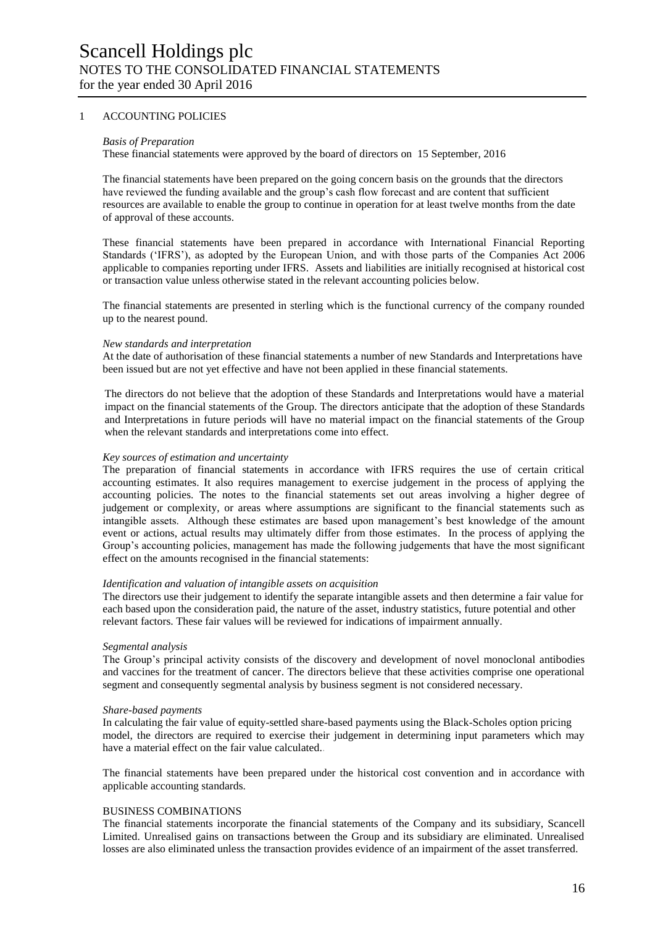### 1 ACCOUNTING POLICIES

### *Basis of Preparation*

These financial statements were approved by the board of directors on 15 September, 2016

The financial statements have been prepared on the going concern basis on the grounds that the directors have reviewed the funding available and the group's cash flow forecast and are content that sufficient resources are available to enable the group to continue in operation for at least twelve months from the date of approval of these accounts.

These financial statements have been prepared in accordance with International Financial Reporting Standards ('IFRS'), as adopted by the European Union, and with those parts of the Companies Act 2006 applicable to companies reporting under IFRS. Assets and liabilities are initially recognised at historical cost or transaction value unless otherwise stated in the relevant accounting policies below.

The financial statements are presented in sterling which is the functional currency of the company rounded up to the nearest pound.

### *New standards and interpretation*

At the date of authorisation of these financial statements a number of new Standards and Interpretations have been issued but are not yet effective and have not been applied in these financial statements.

The directors do not believe that the adoption of these Standards and Interpretations would have a material impact on the financial statements of the Group. The directors anticipate that the adoption of these Standards and Interpretations in future periods will have no material impact on the financial statements of the Group when the relevant standards and interpretations come into effect.

### *Key sources of estimation and uncertainty*

The preparation of financial statements in accordance with IFRS requires the use of certain critical accounting estimates. It also requires management to exercise judgement in the process of applying the accounting policies. The notes to the financial statements set out areas involving a higher degree of judgement or complexity, or areas where assumptions are significant to the financial statements such as intangible assets. Although these estimates are based upon management's best knowledge of the amount event or actions, actual results may ultimately differ from those estimates. In the process of applying the Group's accounting policies, management has made the following judgements that have the most significant effect on the amounts recognised in the financial statements:

### *Identification and valuation of intangible assets on acquisition*

The directors use their judgement to identify the separate intangible assets and then determine a fair value for each based upon the consideration paid, the nature of the asset, industry statistics, future potential and other relevant factors. These fair values will be reviewed for indications of impairment annually.

### *Segmental analysis*

The Group's principal activity consists of the discovery and development of novel monoclonal antibodies and vaccines for the treatment of cancer. The directors believe that these activities comprise one operational segment and consequently segmental analysis by business segment is not considered necessary.

### *Share-based payments*

In calculating the fair value of equity-settled share-based payments using the Black-Scholes option pricing model, the directors are required to exercise their judgement in determining input parameters which may have a material effect on the fair value calculated..

The financial statements have been prepared under the historical cost convention and in accordance with applicable accounting standards.

### BUSINESS COMBINATIONS

The financial statements incorporate the financial statements of the Company and its subsidiary, Scancell Limited. Unrealised gains on transactions between the Group and its subsidiary are eliminated. Unrealised losses are also eliminated unless the transaction provides evidence of an impairment of the asset transferred.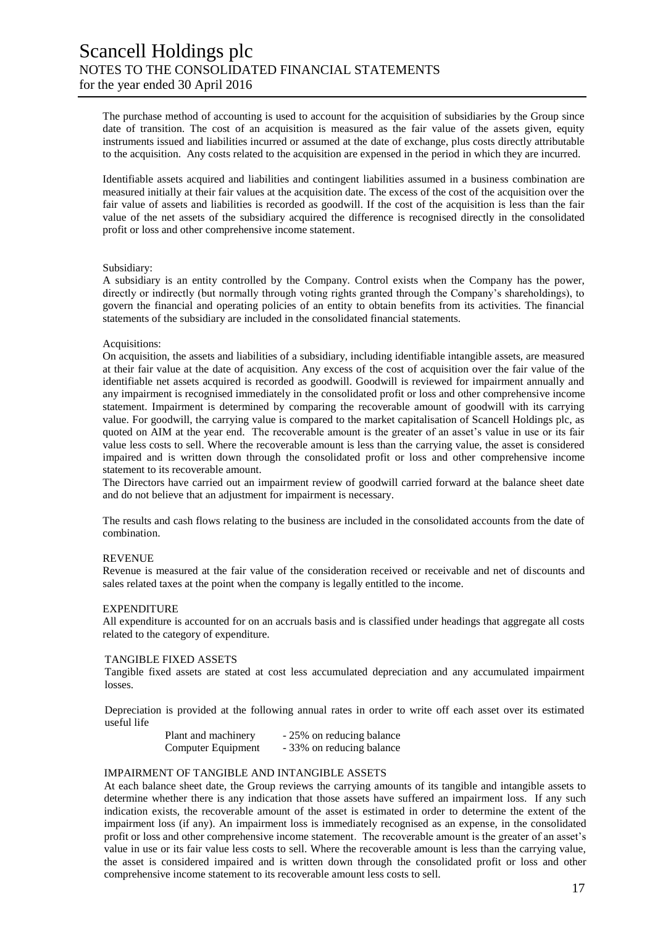The purchase method of accounting is used to account for the acquisition of subsidiaries by the Group since date of transition. The cost of an acquisition is measured as the fair value of the assets given, equity instruments issued and liabilities incurred or assumed at the date of exchange, plus costs directly attributable to the acquisition. Any costs related to the acquisition are expensed in the period in which they are incurred.

Identifiable assets acquired and liabilities and contingent liabilities assumed in a business combination are measured initially at their fair values at the acquisition date. The excess of the cost of the acquisition over the fair value of assets and liabilities is recorded as goodwill. If the cost of the acquisition is less than the fair value of the net assets of the subsidiary acquired the difference is recognised directly in the consolidated profit or loss and other comprehensive income statement.

### Subsidiary:

A subsidiary is an entity controlled by the Company. Control exists when the Company has the power, directly or indirectly (but normally through voting rights granted through the Company's shareholdings), to govern the financial and operating policies of an entity to obtain benefits from its activities. The financial statements of the subsidiary are included in the consolidated financial statements.

### Acquisitions:

On acquisition, the assets and liabilities of a subsidiary, including identifiable intangible assets, are measured at their fair value at the date of acquisition. Any excess of the cost of acquisition over the fair value of the identifiable net assets acquired is recorded as goodwill. Goodwill is reviewed for impairment annually and any impairment is recognised immediately in the consolidated profit or loss and other comprehensive income statement. Impairment is determined by comparing the recoverable amount of goodwill with its carrying value. For goodwill, the carrying value is compared to the market capitalisation of Scancell Holdings plc, as quoted on AIM at the year end. The recoverable amount is the greater of an asset's value in use or its fair value less costs to sell. Where the recoverable amount is less than the carrying value, the asset is considered impaired and is written down through the consolidated profit or loss and other comprehensive income statement to its recoverable amount.

The Directors have carried out an impairment review of goodwill carried forward at the balance sheet date and do not believe that an adjustment for impairment is necessary.

The results and cash flows relating to the business are included in the consolidated accounts from the date of combination.

### REVENUE

Revenue is measured at the fair value of the consideration received or receivable and net of discounts and sales related taxes at the point when the company is legally entitled to the income.

### EXPENDITURE

All expenditure is accounted for on an accruals basis and is classified under headings that aggregate all costs related to the category of expenditure.

### TANGIBLE FIXED ASSETS

Tangible fixed assets are stated at cost less accumulated depreciation and any accumulated impairment losses.

Depreciation is provided at the following annual rates in order to write off each asset over its estimated useful life

| Plant and machinery | - 25% on reducing balance |
|---------------------|---------------------------|
| Computer Equipment  | - 33% on reducing balance |

### IMPAIRMENT OF TANGIBLE AND INTANGIBLE ASSETS

At each balance sheet date, the Group reviews the carrying amounts of its tangible and intangible assets to determine whether there is any indication that those assets have suffered an impairment loss. If any such indication exists, the recoverable amount of the asset is estimated in order to determine the extent of the impairment loss (if any). An impairment loss is immediately recognised as an expense, in the consolidated profit or loss and other comprehensive income statement. The recoverable amount is the greater of an asset's value in use or its fair value less costs to sell. Where the recoverable amount is less than the carrying value, the asset is considered impaired and is written down through the consolidated profit or loss and other comprehensive income statement to its recoverable amount less costs to sell.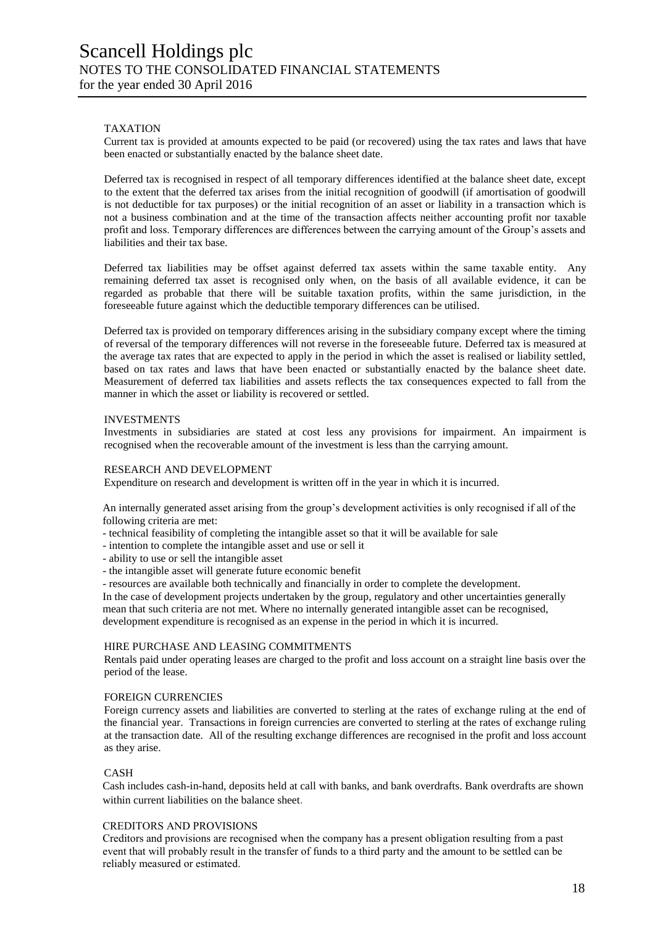### TAXATION

Current tax is provided at amounts expected to be paid (or recovered) using the tax rates and laws that have been enacted or substantially enacted by the balance sheet date.

Deferred tax is recognised in respect of all temporary differences identified at the balance sheet date, except to the extent that the deferred tax arises from the initial recognition of goodwill (if amortisation of goodwill is not deductible for tax purposes) or the initial recognition of an asset or liability in a transaction which is not a business combination and at the time of the transaction affects neither accounting profit nor taxable profit and loss. Temporary differences are differences between the carrying amount of the Group's assets and liabilities and their tax base.

Deferred tax liabilities may be offset against deferred tax assets within the same taxable entity. Any remaining deferred tax asset is recognised only when, on the basis of all available evidence, it can be regarded as probable that there will be suitable taxation profits, within the same jurisdiction, in the foreseeable future against which the deductible temporary differences can be utilised.

Deferred tax is provided on temporary differences arising in the subsidiary company except where the timing of reversal of the temporary differences will not reverse in the foreseeable future. Deferred tax is measured at the average tax rates that are expected to apply in the period in which the asset is realised or liability settled, based on tax rates and laws that have been enacted or substantially enacted by the balance sheet date. Measurement of deferred tax liabilities and assets reflects the tax consequences expected to fall from the manner in which the asset or liability is recovered or settled.

### INVESTMENTS

Investments in subsidiaries are stated at cost less any provisions for impairment. An impairment is recognised when the recoverable amount of the investment is less than the carrying amount.

### RESEARCH AND DEVELOPMENT

Expenditure on research and development is written off in the year in which it is incurred.

An internally generated asset arising from the group's development activities is only recognised if all of the following criteria are met:

- technical feasibility of completing the intangible asset so that it will be available for sale
- intention to complete the intangible asset and use or sell it
- ability to use or sell the intangible asset
- the intangible asset will generate future economic benefit

- resources are available both technically and financially in order to complete the development.

In the case of development projects undertaken by the group, regulatory and other uncertainties generally mean that such criteria are not met. Where no internally generated intangible asset can be recognised, development expenditure is recognised as an expense in the period in which it is incurred.

### HIRE PURCHASE AND LEASING COMMITMENTS

Rentals paid under operating leases are charged to the profit and loss account on a straight line basis over the period of the lease.

### FOREIGN CURRENCIES

Foreign currency assets and liabilities are converted to sterling at the rates of exchange ruling at the end of the financial year. Transactions in foreign currencies are converted to sterling at the rates of exchange ruling at the transaction date. All of the resulting exchange differences are recognised in the profit and loss account as they arise.

### CASH

Cash includes cash-in-hand, deposits held at call with banks, and bank overdrafts. Bank overdrafts are shown within current liabilities on the balance sheet.

### CREDITORS AND PROVISIONS

Creditors and provisions are recognised when the company has a present obligation resulting from a past event that will probably result in the transfer of funds to a third party and the amount to be settled can be reliably measured or estimated.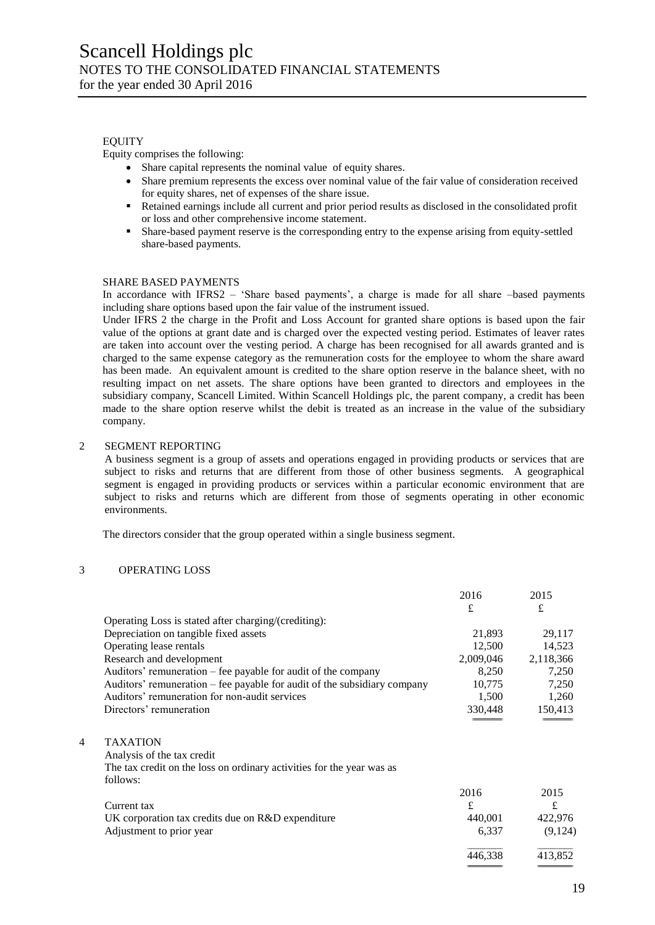### **EQUITY**

Equity comprises the following:

- Share capital represents the nominal value of equity shares.
- Share premium represents the excess over nominal value of the fair value of consideration received for equity shares, net of expenses of the share issue.
- Retained earnings include all current and prior period results as disclosed in the consolidated profit or loss and other comprehensive income statement.
- Share-based payment reserve is the corresponding entry to the expense arising from equity-settled share-based payments.

### SHARE BASED PAYMENTS

In accordance with IFRS2 – 'Share based payments', a charge is made for all share –based payments including share options based upon the fair value of the instrument issued.

Under IFRS 2 the charge in the Profit and Loss Account for granted share options is based upon the fair value of the options at grant date and is charged over the expected vesting period. Estimates of leaver rates are taken into account over the vesting period. A charge has been recognised for all awards granted and is charged to the same expense category as the remuneration costs for the employee to whom the share award has been made. An equivalent amount is credited to the share option reserve in the balance sheet, with no resulting impact on net assets. The share options have been granted to directors and employees in the subsidiary company, Scancell Limited. Within Scancell Holdings plc, the parent company, a credit has been made to the share option reserve whilst the debit is treated as an increase in the value of the subsidiary company.

### 2 SEGMENT REPORTING

A business segment is a group of assets and operations engaged in providing products or services that are subject to risks and returns that are different from those of other business segments. A geographical segment is engaged in providing products or services within a particular economic environment that are subject to risks and returns which are different from those of segments operating in other economic environments.

The directors consider that the group operated within a single business segment.

### 3 OPERATING LOSS

|   |                                                                          | 2016      | 2015      |
|---|--------------------------------------------------------------------------|-----------|-----------|
|   |                                                                          | £         | £         |
|   | Operating Loss is stated after charging/(crediting):                     |           |           |
|   | Depreciation on tangible fixed assets                                    | 21,893    | 29,117    |
|   | Operating lease rentals                                                  | 12,500    | 14,523    |
|   | Research and development                                                 | 2,009,046 | 2,118,366 |
|   | Auditors' remuneration – fee payable for audit of the company            | 8,250     | 7,250     |
|   | Auditors' remuneration – fee payable for audit of the subsidiary company | 10,775    | 7,250     |
|   | Auditors' remuneration for non-audit services                            | 1,500     | 1,260     |
|   | Directors' remuneration                                                  | 330,448   | 150,413   |
|   |                                                                          |           |           |
| 4 | <b>TAXATION</b>                                                          |           |           |
|   | Analysis of the tax credit                                               |           |           |
|   | The tax credit on the loss on ordinary activities for the year was as    |           |           |
|   | follows:                                                                 |           |           |
|   |                                                                          | 2016      | 2015      |
|   | Current tax                                                              | £         | £         |
|   | UK corporation tax credits due on R&D expenditure                        | 440,001   | 422,976   |
|   | Adjustment to prior year                                                 | 6,337     | (9,124)   |
|   |                                                                          | 446,338   | 413,852   |

================================= =================================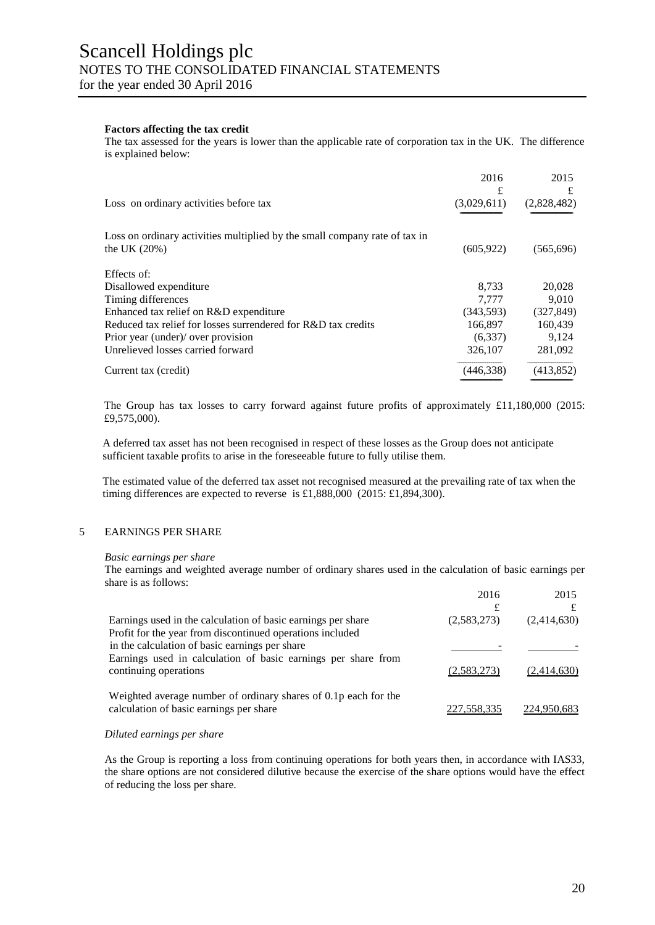### **Factors affecting the tax credit**

The tax assessed for the years is lower than the applicable rate of corporation tax in the UK. The difference is explained below:

|                                                                                               | 2016             | 2015             |
|-----------------------------------------------------------------------------------------------|------------------|------------------|
| Loss on ordinary activities before tax                                                        | £<br>(3,029,611) | £<br>(2,828,482) |
| Loss on ordinary activities multiplied by the small company rate of tax in<br>the UK $(20\%)$ | (605, 922)       | (565,696)        |
| Effects of:                                                                                   |                  |                  |
| Disallowed expenditure                                                                        | 8.733            | 20,028           |
| Timing differences                                                                            | 7.777            | 9,010            |
| Enhanced tax relief on R&D expenditure                                                        | (343,593)        | (327, 849)       |
| Reduced tax relief for losses surrendered for R&D tax credits                                 | 166,897          | 160,439          |
| Prior year (under)/ over provision                                                            | (6,337)          | 9.124            |
| Unrelieved losses carried forward                                                             | 326,107          | 281,092          |
| Current tax (credit)                                                                          | (446, 338)       | (413, 852)       |

The Group has tax losses to carry forward against future profits of approximately £11,180,000 (2015: £9,575,000).

A deferred tax asset has not been recognised in respect of these losses as the Group does not anticipate sufficient taxable profits to arise in the foreseeable future to fully utilise them.

The estimated value of the deferred tax asset not recognised measured at the prevailing rate of tax when the timing differences are expected to reverse is £1,888,000 (2015: £1,894,300).

### 5 EARNINGS PER SHARE

### *Basic earnings per share*

The earnings and weighted average number of ordinary shares used in the calculation of basic earnings per share is as follows:

|                                                                                                                           | 2016        | 2015        |
|---------------------------------------------------------------------------------------------------------------------------|-------------|-------------|
| Earnings used in the calculation of basic earnings per share<br>Profit for the year from discontinued operations included | (2,583,273) | (2,414,630) |
| in the calculation of basic earnings per share                                                                            |             |             |
| Earnings used in calculation of basic earnings per share from<br>continuing operations                                    | (2.583.273) | (2.414.630) |
| Weighted average number of ordinary shares of 0.1p each for the<br>calculation of basic earnings per share                | 227.558.335 | 224.950.683 |

### *Diluted earnings per share*

As the Group is reporting a loss from continuing operations for both years then, in accordance with IAS33, the share options are not considered dilutive because the exercise of the share options would have the effect of reducing the loss per share.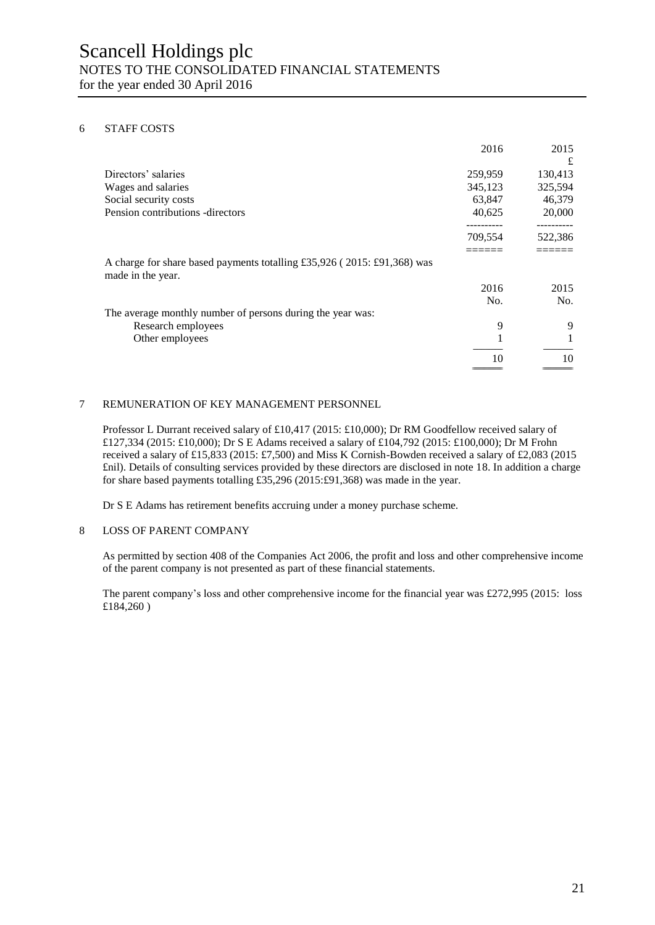### 6 STAFF COSTS

|                                                                                              | 2016    | 2015    |
|----------------------------------------------------------------------------------------------|---------|---------|
|                                                                                              |         | £       |
| Directors' salaries                                                                          | 259,959 | 130,413 |
| Wages and salaries                                                                           | 345,123 | 325,594 |
| Social security costs                                                                        | 63,847  | 46,379  |
| Pension contributions -directors                                                             | 40,625  | 20,000  |
|                                                                                              |         |         |
|                                                                                              | 709,554 | 522,386 |
|                                                                                              |         |         |
| A charge for share based payments totalling £35,926 (2015: £91,368) was<br>made in the year. |         |         |
|                                                                                              | 2016    | 2015    |
|                                                                                              | No.     | No.     |
| The average monthly number of persons during the year was:                                   |         |         |
| Research employees                                                                           | 9       | 9       |
| Other employees                                                                              |         |         |
|                                                                                              | 10      | 10      |
|                                                                                              |         |         |

### 7 REMUNERATION OF KEY MANAGEMENT PERSONNEL

Professor L Durrant received salary of £10,417 (2015: £10,000); Dr RM Goodfellow received salary of £127,334 (2015: £10,000); Dr S E Adams received a salary of £104,792 (2015: £100,000); Dr M Frohn received a salary of £15,833 (2015: £7,500) and Miss K Cornish-Bowden received a salary of £2,083 (2015 £nil). Details of consulting services provided by these directors are disclosed in note 18. In addition a charge for share based payments totalling £35,296 (2015:£91,368) was made in the year.

Dr S E Adams has retirement benefits accruing under a money purchase scheme.

### 8 LOSS OF PARENT COMPANY

As permitted by section 408 of the Companies Act 2006, the profit and loss and other comprehensive income of the parent company is not presented as part of these financial statements.

The parent company's loss and other comprehensive income for the financial year was £272,995 (2015: loss £184,260 )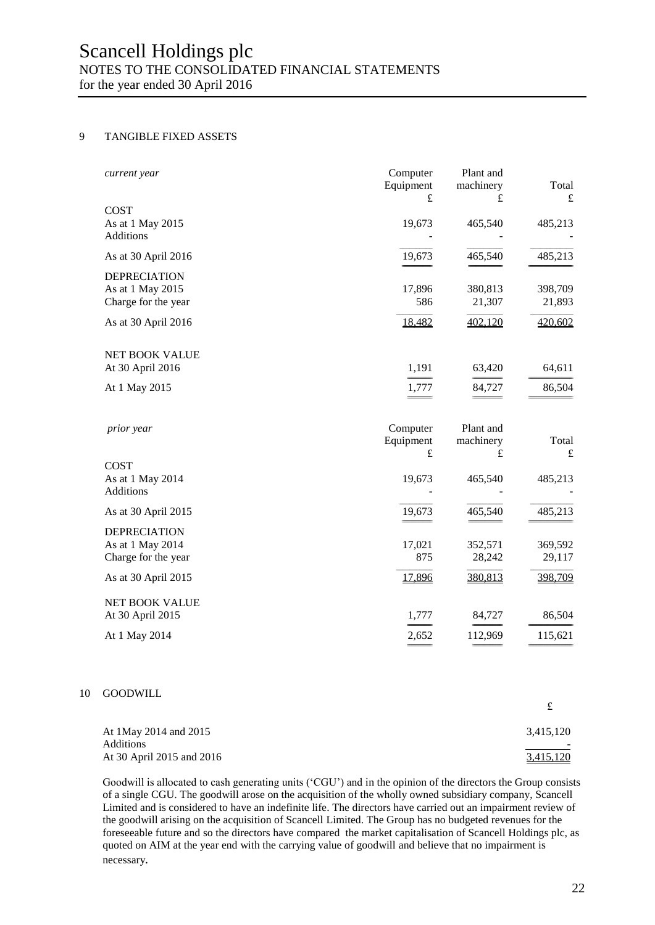# Scancell Holdings plc NOTES TO THE CONSOLIDATED FINANCIAL STATEMENTS

for the year ended 30 April 2016

### 9 TANGIBLE FIXED ASSETS

| current year                                                   | Computer<br>Equipment<br>£         | Plant and<br>machinery<br>£ | Total<br>£        |
|----------------------------------------------------------------|------------------------------------|-----------------------------|-------------------|
| <b>COST</b><br>As at 1 May 2015<br>Additions                   | 19,673                             | 465,540                     | 485,213           |
| As at 30 April 2016                                            | 19,673                             | 465,540                     | 485,213           |
| <b>DEPRECIATION</b><br>As at 1 May 2015<br>Charge for the year | 17,896<br>586                      | 380,813<br>21,307           | 398,709<br>21,893 |
| As at 30 April 2016                                            | 18,482                             | 402,120                     | 420,602           |
| NET BOOK VALUE<br>At 30 April 2016<br>At 1 May 2015            | 1,191<br>1,777                     | 63,420<br>84,727            | 64,611<br>86,504  |
| <i>prior</i> year                                              | Computer<br>Equipment<br>$\pounds$ | Plant and<br>machinery<br>£ | Total<br>£        |
| <b>COST</b><br>As at 1 May 2014<br>Additions                   | 19,673                             | 465,540                     | 485,213           |
| As at 30 April 2015                                            | 19,673                             | 465,540                     | 485,213           |
| <b>DEPRECIATION</b><br>As at 1 May 2014<br>Charge for the year | 17,021<br>875                      | 352,571<br>28,242           | 369,592<br>29,117 |
| As at 30 April 2015                                            | 17,896                             | 380,813                     | 398,709           |
| NET BOOK VALUE<br>At 30 April 2015                             | 1,777                              | 84,727                      | 86,504            |
| At 1 May 2014                                                  | 2,652                              | 112,969                     | 115,621           |

### 10 GOODWILL

| At 1May 2014 and 2015     | 3,415,120 |
|---------------------------|-----------|
| Additions                 |           |
| At 30 April 2015 and 2016 | 3,415,120 |

Goodwill is allocated to cash generating units ('CGU') and in the opinion of the directors the Group consists of a single CGU. The goodwill arose on the acquisition of the wholly owned subsidiary company, Scancell Limited and is considered to have an indefinite life. The directors have carried out an impairment review of the goodwill arising on the acquisition of Scancell Limited. The Group has no budgeted revenues for the foreseeable future and so the directors have compared the market capitalisation of Scancell Holdings plc, as quoted on AIM at the year end with the carrying value of goodwill and believe that no impairment is necessary*.*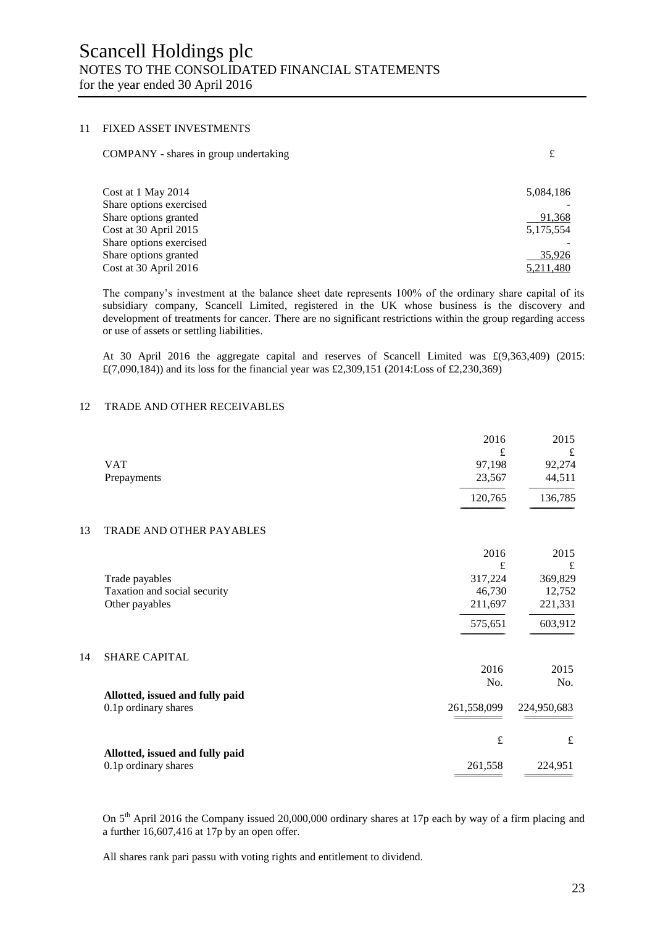### 11 FIXED ASSET INVESTMENTS

| COMPANY - shares in group undertaking | £         |
|---------------------------------------|-----------|
| Cost at 1 May 2014                    | 5,084,186 |
| Share options exercised               |           |
| Share options granted                 | 91,368    |
| Cost at 30 April 2015                 | 5,175,554 |
| Share options exercised               |           |
| Share options granted                 | 35,926    |
| Cost at 30 April 2016                 | 5,211,480 |

The company's investment at the balance sheet date represents 100% of the ordinary share capital of its subsidiary company, Scancell Limited, registered in the UK whose business is the discovery and development of treatments for cancer. There are no significant restrictions within the group regarding access or use of assets or settling liabilities.

At 30 April 2016 the aggregate capital and reserves of Scancell Limited was £(9,363,409) (2015: £(7,090,184)) and its loss for the financial year was £2,309,151 (2014:Loss of £2,230,369)

### 12 TRADE AND OTHER RECEIVABLES

|    |                                 | 2016<br>£   | 2015<br>£   |
|----|---------------------------------|-------------|-------------|
|    | <b>VAT</b>                      | 97,198      | 92,274      |
|    | Prepayments                     | 23,567      | 44,511      |
|    |                                 | 120,765     | 136,785     |
| 13 | TRADE AND OTHER PAYABLES        |             |             |
|    |                                 | 2016        | 2015        |
|    |                                 | £           | £           |
|    | Trade payables                  | 317,224     | 369,829     |
|    | Taxation and social security    | 46,730      | 12,752      |
|    | Other payables                  | 211,697     | 221,331     |
|    |                                 | 575,651     | 603,912     |
| 14 | <b>SHARE CAPITAL</b>            |             |             |
|    |                                 | 2016        | 2015        |
|    |                                 | No.         | No.         |
|    | Allotted, issued and fully paid |             |             |
|    | 0.1p ordinary shares            | 261,558,099 | 224,950,683 |
|    |                                 | $\pounds$   | $\pounds$   |
|    | Allotted, issued and fully paid |             |             |
|    | 0.1p ordinary shares            | 261,558     | 224,951     |

On 5<sup>th</sup> April 2016 the Company issued 20,000,000 ordinary shares at 17p each by way of a firm placing and a further 16,607,416 at 17p by an open offer.

All shares rank pari passu with voting rights and entitlement to dividend.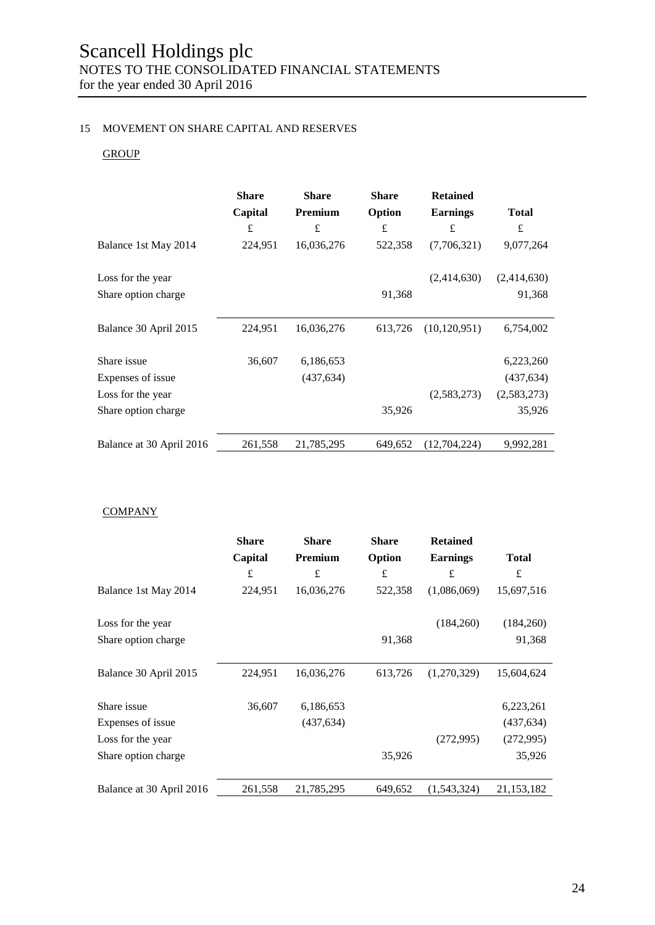### 15 MOVEMENT ON SHARE CAPITAL AND RESERVES

### **GROUP**

|                          | <b>Share</b><br>Capital | <b>Share</b><br><b>Premium</b> | <b>Share</b><br>Option | <b>Retained</b><br><b>Earnings</b> | <b>Total</b> |
|--------------------------|-------------------------|--------------------------------|------------------------|------------------------------------|--------------|
|                          |                         |                                |                        |                                    |              |
|                          | £                       | £                              | £                      | £                                  | £            |
| Balance 1st May 2014     | 224,951                 | 16,036,276                     | 522,358                | (7,706,321)                        | 9,077,264    |
| Loss for the year        |                         |                                |                        | (2,414,630)                        | (2,414,630)  |
| Share option charge      |                         |                                | 91,368                 |                                    | 91,368       |
| Balance 30 April 2015    | 224,951                 | 16,036,276                     | 613,726                | (10, 120, 951)                     | 6,754,002    |
|                          |                         |                                |                        |                                    |              |
| Share issue              | 36,607                  | 6,186,653                      |                        |                                    | 6,223,260    |
| Expenses of issue        |                         | (437, 634)                     |                        |                                    | (437, 634)   |
| Loss for the year        |                         |                                |                        | (2,583,273)                        | (2,583,273)  |
| Share option charge      |                         |                                | 35,926                 |                                    | 35,926       |
| Balance at 30 April 2016 | 261,558                 | 21,785,295                     | 649,652                | (12,704,224)                       | 9,992,281    |

### **COMPANY**

|                          | <b>Share</b> | <b>Share</b> | <b>Share</b> | <b>Retained</b> |              |
|--------------------------|--------------|--------------|--------------|-----------------|--------------|
|                          | Capital      | Premium      | Option       | <b>Earnings</b> | <b>Total</b> |
|                          | £            | £            | £            | £               | £            |
| Balance 1st May 2014     | 224,951      | 16,036,276   | 522,358      | (1,086,069)     | 15,697,516   |
| Loss for the year        |              |              |              | (184,260)       | (184,260)    |
| Share option charge      |              |              | 91,368       |                 | 91,368       |
| Balance 30 April 2015    | 224,951      | 16,036,276   | 613,726      | (1,270,329)     | 15,604,624   |
| Share issue              | 36,607       | 6,186,653    |              |                 | 6,223,261    |
| Expenses of issue        |              | (437, 634)   |              |                 | (437, 634)   |
| Loss for the year        |              |              |              | (272,995)       | (272,995)    |
| Share option charge      |              |              | 35,926       |                 | 35,926       |
| Balance at 30 April 2016 | 261,558      | 21,785,295   | 649,652      | (1,543,324)     | 21, 153, 182 |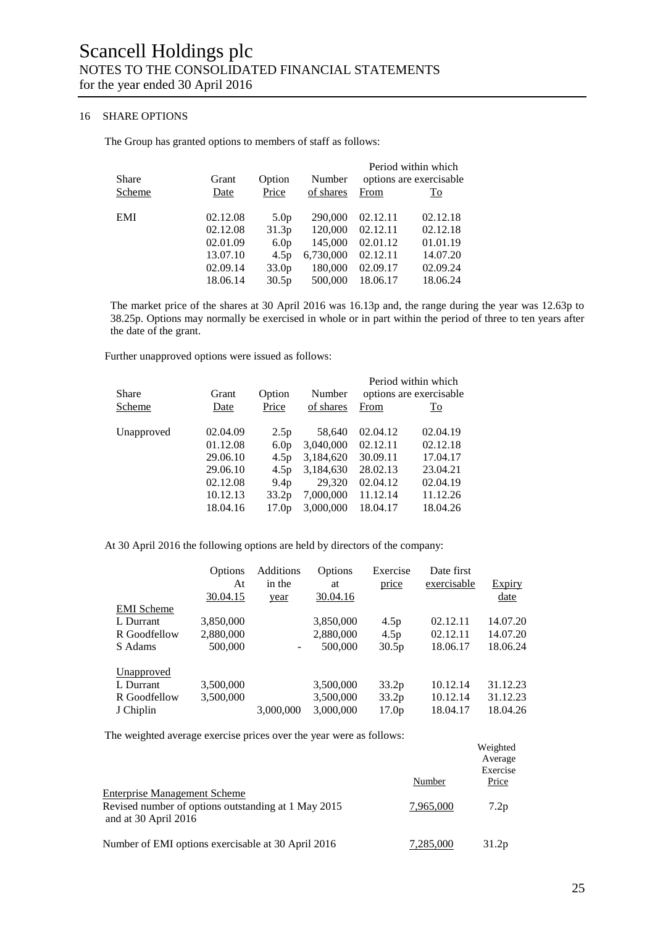### 16 SHARE OPTIONS

The Group has granted options to members of staff as follows:

| Share      | Grant                                                                | Option                                                                  | Number                                                           |                                                                      | Period within which<br>options are exercisable                       |
|------------|----------------------------------------------------------------------|-------------------------------------------------------------------------|------------------------------------------------------------------|----------------------------------------------------------------------|----------------------------------------------------------------------|
| Scheme     | Date                                                                 | Price                                                                   | of shares                                                        | From                                                                 | To                                                                   |
| <b>EMI</b> | 02.12.08<br>02.12.08<br>02.01.09<br>13.07.10<br>02.09.14<br>18.06.14 | 5.0 <sub>p</sub><br>31.3p<br>6.0 <sub>p</sub><br>4.5p<br>33.0p<br>30.5p | 290,000<br>120,000<br>145,000<br>6,730,000<br>180,000<br>500,000 | 02.12.11<br>02.12.11<br>02.01.12<br>02.12.11<br>02.09.17<br>18.06.17 | 02.12.18<br>02.12.18<br>01.01.19<br>14.07.20<br>02.09.24<br>18.06.24 |

The market price of the shares at 30 April 2016 was 16.13p and, the range during the year was 12.63p to 38.25p. Options may normally be exercised in whole or in part within the period of three to ten years after the date of the grant.

Further unapproved options were issued as follows:

| <b>Share</b> | Grant    | Option            | Number    |          | Period within which<br>options are exercisable |
|--------------|----------|-------------------|-----------|----------|------------------------------------------------|
| Scheme       | Date     | Price             | of shares | From     | To                                             |
| Unapproved   | 02.04.09 | 2.5p              | 58,640    | 02.04.12 | 02.04.19                                       |
|              | 01.12.08 | 6.0 <sub>p</sub>  | 3,040,000 | 02.12.11 | 02.12.18                                       |
|              | 29.06.10 | 4.5p              | 3,184,620 | 30.09.11 | 17.04.17                                       |
|              | 29.06.10 | 4.5p              | 3,184,630 | 28.02.13 | 23.04.21                                       |
|              | 02.12.08 | 9.4 <sub>p</sub>  | 29,320    | 02.04.12 | 02.04.19                                       |
|              | 10.12.13 | 33.2 <sub>p</sub> | 7,000,000 | 11.12.14 | 11.12.26                                       |
|              | 18.04.16 | 17.0 <sub>p</sub> | 3,000,000 | 18.04.17 | 18.04.26                                       |
|              |          |                   |           |          |                                                |

At 30 April 2016 the following options are held by directors of the company:

|                   | Options   | Additions         | Options   | Exercise | Date first  |               |
|-------------------|-----------|-------------------|-----------|----------|-------------|---------------|
|                   | At        | in the            | at        | price    | exercisable | <b>Expiry</b> |
|                   | 30.04.15  | year              | 30.04.16  |          |             | date          |
| <b>EMI</b> Scheme |           |                   |           |          |             |               |
| L Durrant         | 3,850,000 |                   | 3,850,000 | 4.5p     | 02.12.11    | 14.07.20      |
| R Goodfellow      | 2,880,000 |                   | 2,880,000 | 4.5p     | 02.12.11    | 14.07.20      |
| S Adams           | 500,000   | $\qquad \qquad -$ | 500,000   | 30.5p    | 18.06.17    | 18.06.24      |
| Unapproved        |           |                   |           |          |             |               |
| L Durrant         | 3,500,000 |                   | 3,500,000 | 33.2p    | 10.12.14    | 31.12.23      |
| R Goodfellow      | 3,500,000 |                   | 3,500,000 | 33.2p    | 10.12.14    | 31.12.23      |
| J Chiplin         |           | 3,000,000         | 3,000,000 | 17.0p    | 18.04.17    | 18.04.26      |

The weighted average exercise prices over the year were as follows:

| The weighted average energies prices over the year were as follows.                                                    |           | Weighted<br>Average<br>Exercise |
|------------------------------------------------------------------------------------------------------------------------|-----------|---------------------------------|
|                                                                                                                        | Number    | Price                           |
| <b>Enterprise Management Scheme</b><br>Revised number of options outstanding at 1 May 2015<br>and at $30$ April $2016$ | 7.965.000 | 7.2p                            |
| Number of EMI options exercisable at 30 April 2016                                                                     | 7,285,000 | 31.2 <sub>p</sub>               |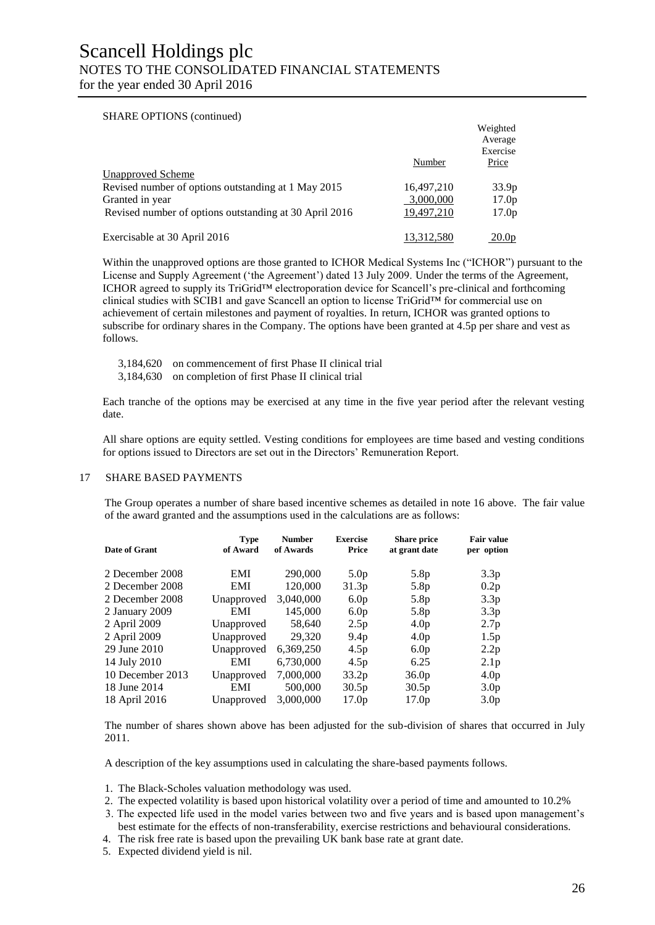SHARE OPTIONS (continued)

|                                                        |            | Weighted<br>Average |
|--------------------------------------------------------|------------|---------------------|
|                                                        |            | Exercise            |
|                                                        | Number     | Price               |
| <b>Unapproved Scheme</b>                               |            |                     |
| Revised number of options outstanding at 1 May 2015    | 16,497,210 | 33.9 <sub>p</sub>   |
| Granted in year                                        | 3,000,000  | 17.0 <sub>p</sub>   |
| Revised number of options outstanding at 30 April 2016 | 19,497,210 | 17.0 <sub>p</sub>   |
| Exercisable at 30 April 2016                           | 13.312.580 | 20.0 <sub>p</sub>   |

Within the unapproved options are those granted to ICHOR Medical Systems Inc ("ICHOR") pursuant to the License and Supply Agreement ('the Agreement') dated 13 July 2009. Under the terms of the Agreement, ICHOR agreed to supply its TriGrid™ electroporation device for Scancell's pre-clinical and forthcoming clinical studies with SCIB1 and gave Scancell an option to license TriGrid™ for commercial use on achievement of certain milestones and payment of royalties. In return, ICHOR was granted options to subscribe for ordinary shares in the Company. The options have been granted at 4.5p per share and vest as follows.

3,184,620 on commencement of first Phase II clinical trial

3,184,630 on completion of first Phase II clinical trial

Each tranche of the options may be exercised at any time in the five year period after the relevant vesting date.

All share options are equity settled. Vesting conditions for employees are time based and vesting conditions for options issued to Directors are set out in the Directors' Remuneration Report.

### 17 SHARE BASED PAYMENTS

The Group operates a number of share based incentive schemes as detailed in note 16 above. The fair value of the award granted and the assumptions used in the calculations are as follows:

| Date of Grant    | <b>Type</b><br>of Award | <b>Number</b><br>of Awards | <b>Exercise</b><br>Price | <b>Share price</b><br>at grant date | <b>Fair value</b><br>per option |
|------------------|-------------------------|----------------------------|--------------------------|-------------------------------------|---------------------------------|
| 2 December 2008  | <b>EMI</b>              | 290,000                    | 5.0 <sub>p</sub>         | 5.8p                                | 3.3p                            |
| 2 December 2008  | <b>EMI</b>              | 120,000                    | 31.3p                    | 5.8p                                | 0.2p                            |
| 2 December 2008  | Unapproved              | 3,040,000                  | 6.0 <sub>p</sub>         | 5.8p                                | 3.3p                            |
| 2 January 2009   | <b>EMI</b>              | 145,000                    | 6.0 <sub>p</sub>         | 5.8p                                | 3.3p                            |
| 2 April 2009     | Unapproved              | 58,640                     | 2.5p                     | 4.0 <sub>p</sub>                    | 2.7 <sub>p</sub>                |
| 2 April 2009     | Unapproved              | 29,320                     | 9.4 <sub>p</sub>         | 4.0 <sub>p</sub>                    | 1.5p                            |
| 29 June 2010     | Unapproved              | 6,369,250                  | 4.5p                     | 6.0 <sub>p</sub>                    | 2.2p                            |
| 14 July 2010     | EMI                     | 6,730,000                  | 4.5p                     | 6.25                                | 2.1 <sub>p</sub>                |
| 10 December 2013 | Unapproved              | 7,000,000                  | 33.2 <sub>p</sub>        | 36.0 <sub>p</sub>                   | 4.0 <sub>p</sub>                |
| 18 June 2014     | <b>EMI</b>              | 500,000                    | 30.5p                    | 30.5p                               | 3.0 <sub>p</sub>                |
| 18 April 2016    | Unapproved              | 3,000,000                  | 17.0 <sub>p</sub>        | 17.0 <sub>p</sub>                   | 3.0 <sub>p</sub>                |

The number of shares shown above has been adjusted for the sub-division of shares that occurred in July 2011.

A description of the key assumptions used in calculating the share-based payments follows.

- 1. The Black-Scholes valuation methodology was used.
- 2. The expected volatility is based upon historical volatility over a period of time and amounted to 10.2%
- 3. The expected life used in the model varies between two and five years and is based upon management's best estimate for the effects of non-transferability, exercise restrictions and behavioural considerations.
- 4. The risk free rate is based upon the prevailing UK bank base rate at grant date.
- 5. Expected dividend yield is nil.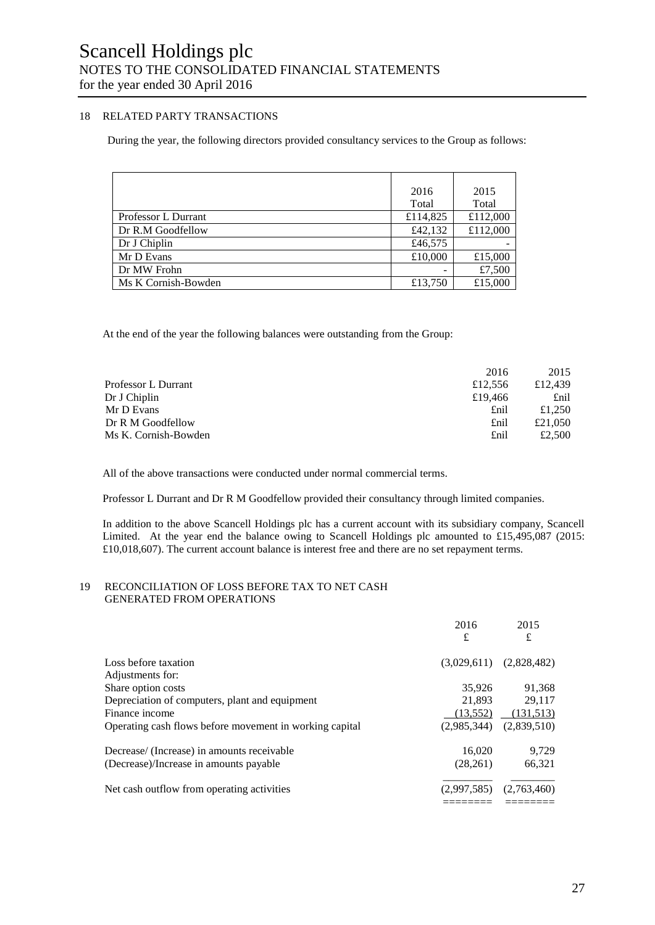### 18 RELATED PARTY TRANSACTIONS

During the year, the following directors provided consultancy services to the Group as follows:

|                            | 2016<br>Total | 2015<br>Total |
|----------------------------|---------------|---------------|
| <b>Professor L Durrant</b> | £114,825      | £112,000      |
| Dr R.M Goodfellow          | £42,132       | £112,000      |
| Dr J Chiplin               | £46,575       |               |
| Mr D Evans                 | £10,000       | £15,000       |
| Dr MW Frohn                |               | £7,500        |
| Ms K Cornish-Bowden        | £13,750       | £15,000       |

At the end of the year the following balances were outstanding from the Group:

| 2016    | 2015    |
|---------|---------|
| £12.556 | £12.439 |
| £19.466 | £nil    |
| £nil    | £1.250  |
| £nil    | £21,050 |
| £nil    | £2,500  |
|         |         |

All of the above transactions were conducted under normal commercial terms.

Professor L Durrant and Dr R M Goodfellow provided their consultancy through limited companies.

In addition to the above Scancell Holdings plc has a current account with its subsidiary company, Scancell Limited. At the year end the balance owing to Scancell Holdings plc amounted to £15,495,087 (2015: £10,018,607). The current account balance is interest free and there are no set repayment terms.

### 19 RECONCILIATION OF LOSS BEFORE TAX TO NET CASH GENERATED FROM OPERATIONS

|                                                         | 2016        | 2015        |
|---------------------------------------------------------|-------------|-------------|
|                                                         | £           | £           |
| Loss before taxation                                    | (3,029,611) | (2,828,482) |
| Adjustments for:                                        |             |             |
| Share option costs                                      | 35.926      | 91,368      |
| Depreciation of computers, plant and equipment          | 21.893      | 29,117      |
| Finance income                                          | (13, 552)   | (131,513)   |
| Operating cash flows before movement in working capital | (2.985.344) | (2,839,510) |
| Decrease/ (Increase) in amounts receivable              | 16.020      | 9.729       |
| (Decrease)/Increase in amounts payable                  | (28,261)    | 66,321      |
| Net cash outflow from operating activities              | (2,997,585) | (2,763,460) |
|                                                         |             |             |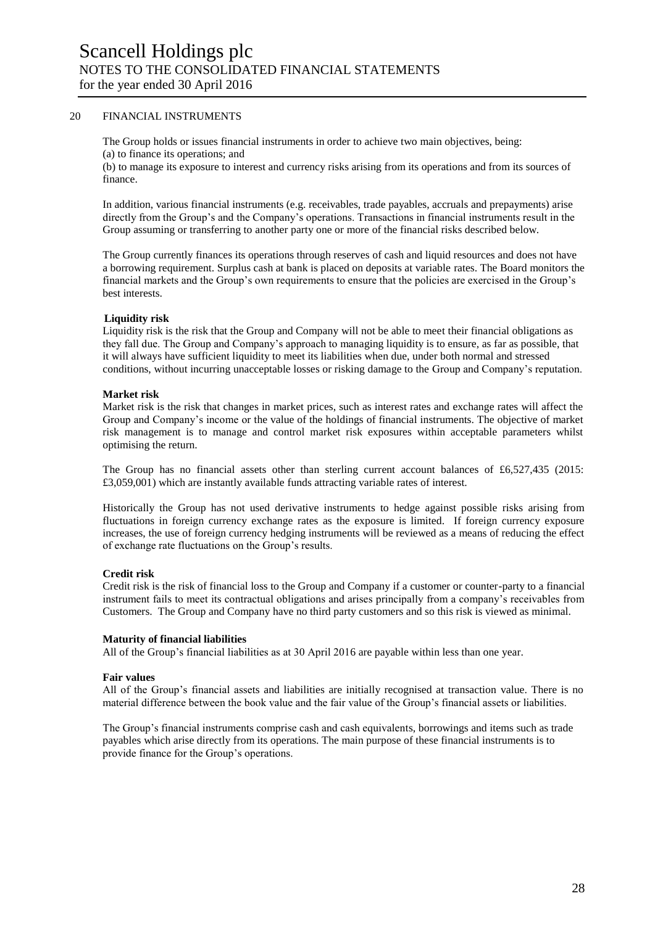### 20 FINANCIAL INSTRUMENTS

The Group holds or issues financial instruments in order to achieve two main objectives, being: (a) to finance its operations; and

(b) to manage its exposure to interest and currency risks arising from its operations and from its sources of finance.

In addition, various financial instruments (e.g. receivables, trade payables, accruals and prepayments) arise directly from the Group's and the Company's operations. Transactions in financial instruments result in the Group assuming or transferring to another party one or more of the financial risks described below.

The Group currently finances its operations through reserves of cash and liquid resources and does not have a borrowing requirement. Surplus cash at bank is placed on deposits at variable rates. The Board monitors the financial markets and the Group's own requirements to ensure that the policies are exercised in the Group's best interests.

### **Liquidity risk**

Liquidity risk is the risk that the Group and Company will not be able to meet their financial obligations as they fall due. The Group and Company's approach to managing liquidity is to ensure, as far as possible, that it will always have sufficient liquidity to meet its liabilities when due, under both normal and stressed conditions, without incurring unacceptable losses or risking damage to the Group and Company's reputation.

### **Market risk**

Market risk is the risk that changes in market prices, such as interest rates and exchange rates will affect the Group and Company's income or the value of the holdings of financial instruments. The objective of market risk management is to manage and control market risk exposures within acceptable parameters whilst optimising the return.

The Group has no financial assets other than sterling current account balances of £6,527,435 (2015: £3,059,001) which are instantly available funds attracting variable rates of interest.

Historically the Group has not used derivative instruments to hedge against possible risks arising from fluctuations in foreign currency exchange rates as the exposure is limited. If foreign currency exposure increases, the use of foreign currency hedging instruments will be reviewed as a means of reducing the effect of exchange rate fluctuations on the Group's results.

### **Credit risk**

Credit risk is the risk of financial loss to the Group and Company if a customer or counter-party to a financial instrument fails to meet its contractual obligations and arises principally from a company's receivables from Customers. The Group and Company have no third party customers and so this risk is viewed as minimal.

### **Maturity of financial liabilities**

All of the Group's financial liabilities as at 30 April 2016 are payable within less than one year.

### **Fair values**

All of the Group's financial assets and liabilities are initially recognised at transaction value. There is no material difference between the book value and the fair value of the Group's financial assets or liabilities.

The Group's financial instruments comprise cash and cash equivalents, borrowings and items such as trade payables which arise directly from its operations. The main purpose of these financial instruments is to provide finance for the Group's operations.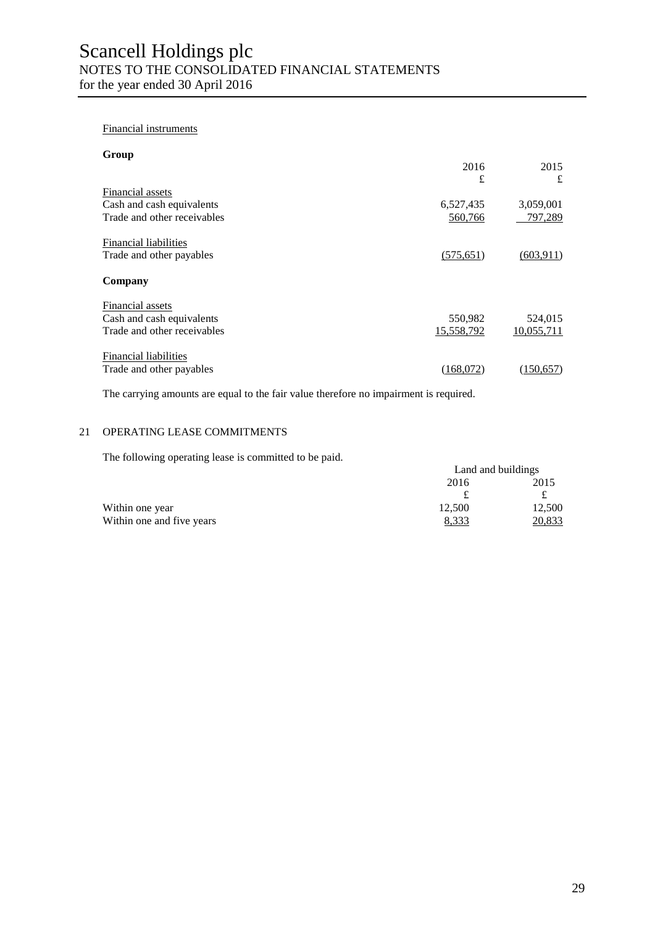### Financial instruments

| Group                        |            |            |
|------------------------------|------------|------------|
|                              | 2016<br>£  | 2015<br>£  |
| Financial assets             |            |            |
| Cash and cash equivalents    | 6,527,435  | 3,059,001  |
| Trade and other receivables  | 560,766    | 797,289    |
| <b>Financial liabilities</b> |            |            |
| Trade and other payables     | (575, 651) | (603, 911) |
| Company                      |            |            |
| Financial assets             |            |            |
| Cash and cash equivalents    | 550,982    | 524,015    |
| Trade and other receivables  | 15,558,792 | 10,055,711 |
| <b>Financial liabilities</b> |            |            |
| Trade and other payables     | (168,072)  | (150, 657) |

The carrying amounts are equal to the fair value therefore no impairment is required.

### 21 OPERATING LEASE COMMITMENTS

The following operating lease is committed to be paid.

|                           | Land and buildings |        |
|---------------------------|--------------------|--------|
|                           | 2016               | 2015   |
|                           |                    |        |
| Within one year           | 12.500             | 12,500 |
| Within one and five years | 8.333              | 20,833 |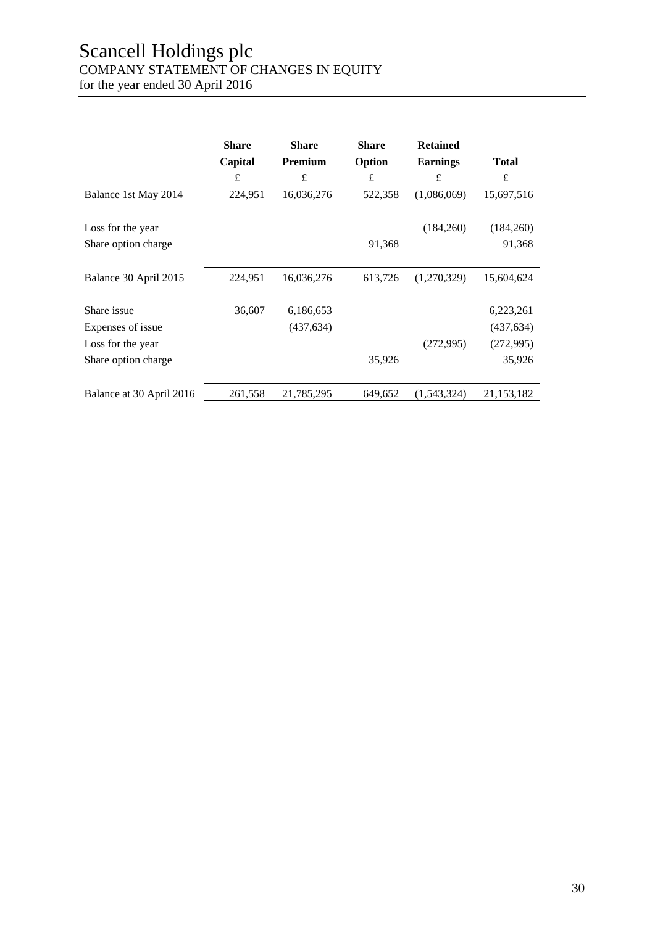# Scancell Holdings plc COMPANY STATEMENT OF CHANGES IN EQUITY

for the year ended 30 April 2016

|                          | Share<br>Capital | <b>Share</b><br>Premium | <b>Share</b><br>Option | <b>Retained</b><br><b>Earnings</b> | <b>Total</b> |
|--------------------------|------------------|-------------------------|------------------------|------------------------------------|--------------|
|                          | £                | £                       | £                      | £                                  | £            |
| Balance 1st May 2014     | 224,951          | 16,036,276              | 522,358                | (1,086,069)                        | 15,697,516   |
| Loss for the year        |                  |                         |                        | (184,260)                          | (184,260)    |
| Share option charge      |                  |                         | 91,368                 |                                    | 91,368       |
| Balance 30 April 2015    | 224,951          | 16,036,276              | 613,726                | (1,270,329)                        | 15,604,624   |
| Share issue              | 36,607           | 6,186,653               |                        |                                    | 6,223,261    |
| Expenses of issue        |                  | (437, 634)              |                        |                                    | (437, 634)   |
| Loss for the year        |                  |                         |                        | (272,995)                          | (272,995)    |
| Share option charge.     |                  |                         | 35,926                 |                                    | 35,926       |
| Balance at 30 April 2016 | 261,558          | 21,785,295              | 649,652                | (1,543,324)                        | 21, 153, 182 |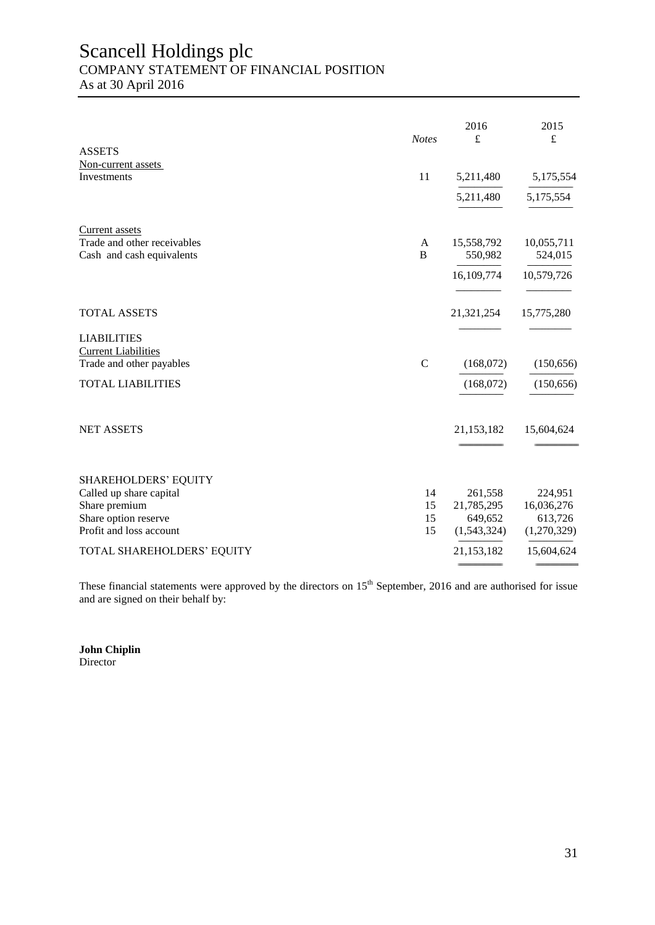## Scancell Holdings plc COMPANY STATEMENT OF FINANCIAL POSITION

As at 30 April 2016

| <b>ASSETS</b>                                        | <b>Notes</b>  | 2016<br>$\pounds$ | 2015<br>$\pounds$ |
|------------------------------------------------------|---------------|-------------------|-------------------|
| Non-current assets<br>Investments                    | 11            | 5,211,480         | 5,175,554         |
|                                                      |               | 5,211,480         | 5,175,554         |
| <b>Current</b> assets<br>Trade and other receivables | $\mathbf{A}$  | 15,558,792        | 10,055,711        |
| Cash and cash equivalents                            | B             | 550,982           | 524,015           |
|                                                      |               | 16,109,774        | 10,579,726        |
| <b>TOTAL ASSETS</b>                                  |               | 21,321,254        | 15,775,280        |
| <b>LIABILITIES</b>                                   |               |                   |                   |
| <b>Current Liabilities</b>                           |               |                   |                   |
| Trade and other payables                             | $\mathcal{C}$ | (168,072)         | (150, 656)        |
| <b>TOTAL LIABILITIES</b>                             |               | (168,072)         | (150, 656)        |
| <b>NET ASSETS</b>                                    |               | 21,153,182        | 15,604,624        |
| <b>SHAREHOLDERS' EQUITY</b>                          |               |                   |                   |
| Called up share capital                              | 14            | 261,558           | 224,951           |
| Share premium                                        | 15            | 21,785,295        | 16,036,276        |
| Share option reserve<br>Profit and loss account      | 15<br>15      | 649,652           | 613,726           |
|                                                      |               | (1,543,324)       | (1,270,329)       |
| TOTAL SHAREHOLDERS' EQUITY                           |               | 21,153,182        | 15,604,624        |
|                                                      |               |                   |                   |

These financial statements were approved by the directors on 15<sup>th</sup> September, 2016 and are authorised for issue and are signed on their behalf by:

**John Chiplin** Director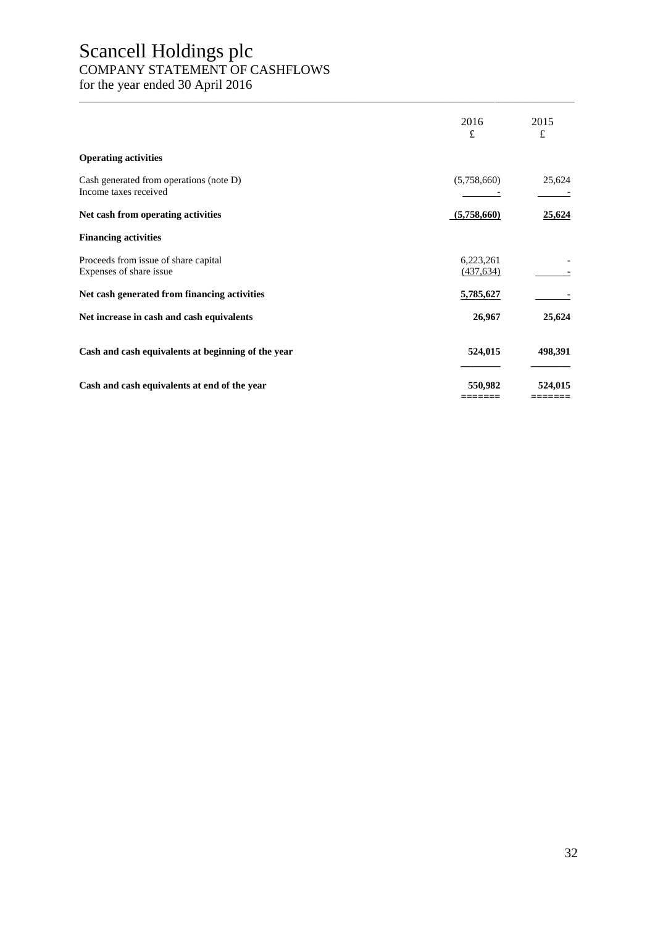## Scancell Holdings plc COMPANY STATEMENT OF CASHFLOWS

for the year ended 30 April 2016

|                                                                  | 2016<br>£               | 2015<br>£ |
|------------------------------------------------------------------|-------------------------|-----------|
| <b>Operating activities</b>                                      |                         |           |
| Cash generated from operations (note D)<br>Income taxes received | (5,758,660)             | 25,624    |
| Net cash from operating activities                               | (5,758,660)             | 25,624    |
| <b>Financing activities</b>                                      |                         |           |
| Proceeds from issue of share capital<br>Expenses of share issue  | 6,223,261<br>(437, 634) |           |
| Net cash generated from financing activities                     | 5,785,627               |           |
| Net increase in cash and cash equivalents                        | 26,967                  | 25,624    |
| Cash and cash equivalents at beginning of the year               | 524,015                 | 498,391   |
| Cash and cash equivalents at end of the year                     | 550,982<br>=======      | 524,015   |

\_\_\_\_\_\_\_\_\_\_\_\_\_\_\_\_\_\_\_\_\_\_\_\_\_\_\_\_\_\_\_\_\_\_\_\_\_\_\_\_\_\_\_\_\_\_\_\_\_\_\_\_\_\_\_\_\_\_\_\_\_\_\_\_\_\_\_\_\_\_\_\_\_\_\_\_\_\_\_\_\_\_\_\_\_\_\_\_\_\_\_\_\_\_\_\_\_\_\_\_